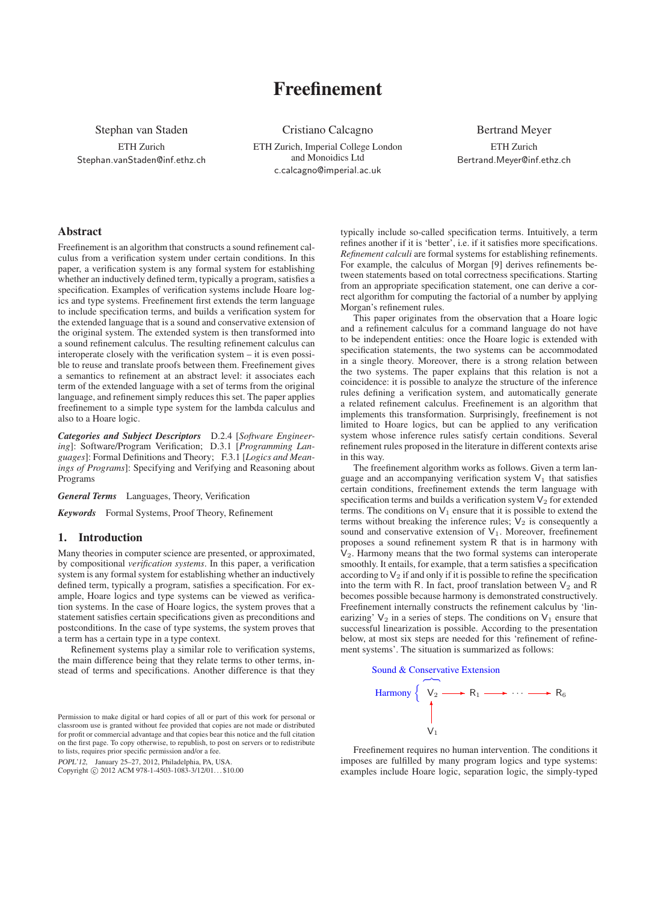# **Freefinement**

Stephan van Staden ETH Zurich Stephan.vanStaden@inf.ethz.ch

Cristiano Calcagno ETH Zurich, Imperial College London and Monoidics Ltd c.calcagno@imperial.ac.uk

Bertrand Meyer ETH Zurich Bertrand.Meyer@inf.ethz.ch

## **Abstract**

Freefinement is an algorithm that constructs a sound refinement calculus from a verification system under certain conditions. In this paper, a verification system is any formal system for establishing whether an inductively defined term, typically a program, satisfies a specification. Examples of verification systems include Hoare logics and type systems. Freefinement first extends the term language to include specification terms, and builds a verification system for the extended language that is a sound and conservative extension of the original system. The extended system is then transformed into a sound refinement calculus. The resulting refinement calculus can interoperate closely with the verification system – it is even possible to reuse and translate proofs between them. Freefinement gives a semantics to refinement at an abstract level: it associates each term of the extended language with a set of terms from the original language, and refinement simply reduces this set. The paper applies freefinement to a simple type system for the lambda calculus and also to a Hoare logic.

*Categories and Subject Descriptors* D.2.4 [*Software Engineering*]: Software/Program Verification; D.3.1 [*Programming Languages*]: Formal Definitions and Theory; F.3.1 [*Logics and Meanings of Programs*]: Specifying and Verifying and Reasoning about Programs

*General Terms* Languages, Theory, Verification

*Keywords* Formal Systems, Proof Theory, Refinement

#### **1. Introduction**

Many theories in computer science are presented, or approximated, by compositional *verification systems*. In this paper, a verification system is any formal system for establishing whether an inductively defined term, typically a program, satisfies a specification. For example, Hoare logics and type systems can be viewed as verification systems. In the case of Hoare logics, the system proves that a statement satisfies certain specifications given as preconditions and postconditions. In the case of type systems, the system proves that a term has a certain type in a type context.

Refinement systems play a similar role to verification systems, the main difference being that they relate terms to other terms, instead of terms and specifications. Another difference is that they typically include so-called specification terms. Intuitively, a term refines another if it is 'better', i.e. if it satisfies more specifications. *Refinement calculi* are formal systems for establishing refinements. For example, the calculus of Morgan [9] derives refinements between statements based on total correctness specifications. Starting from an appropriate specification statement, one can derive a correct algorithm for computing the factorial of a number by applying Morgan's refinement rules.

This paper originates from the observation that a Hoare logic and a refinement calculus for a command language do not have to be independent entities: once the Hoare logic is extended with specification statements, the two systems can be accommodated in a single theory. Moreover, there is a strong relation between the two systems. The paper explains that this relation is not a coincidence: it is possible to analyze the structure of the inference rules defining a verification system, and automatically generate a related refinement calculus. Freefinement is an algorithm that implements this transformation. Surprisingly, freefinement is not limited to Hoare logics, but can be applied to any verification system whose inference rules satisfy certain conditions. Several refinement rules proposed in the literature in different contexts arise in this way.

The freefinement algorithm works as follows. Given a term language and an accompanying verification system  $V_1$  that satisfies certain conditions, freefinement extends the term language with specification terms and builds a verification system  $V_2$  for extended terms. The conditions on  $V_1$  ensure that it is possible to extend the terms without breaking the inference rules;  $V_2$  is consequently a sound and conservative extension of  $V_1$ . Moreover, freefinement proposes a sound refinement system R that is in harmony with  $V_2$ . Harmony means that the two formal systems can interoperate smoothly. It entails, for example, that a term satisfies a specification according to  $V_2$  if and only if it is possible to refine the specification into the term with R. In fact, proof translation between  $V_2$  and R becomes possible because harmony is demonstrated constructively. Freefinement internally constructs the refinement calculus by 'linearizing'  $V_2$  in a series of steps. The conditions on  $V_1$  ensure that successful linearization is possible. According to the presentation below, at most six steps are needed for this 'refinement of refinement systems'. The situation is summarized as follows:



POPL'12, January 25–27, 2012, Philadelphia, PA, USA.

Copyright © 2012 ACM 978-1-4503-1083-3/12/01... \$10.00

Freefinement requires no human intervention. The conditions it imposes are fulfilled by many program logics and type systems: examples include Hoare logic, separation logic, the simply-typed

Permission to make digital or hard copies of all or part of this work for personal or classroom use is granted without fee provided that copies are not made or distributed for profit or commercial advantage and that copies bear this notice and the full citation on the first page. To copy otherwise, to republish, to post on servers or to redistribute to lists, requires prior specific permission and/or a fee.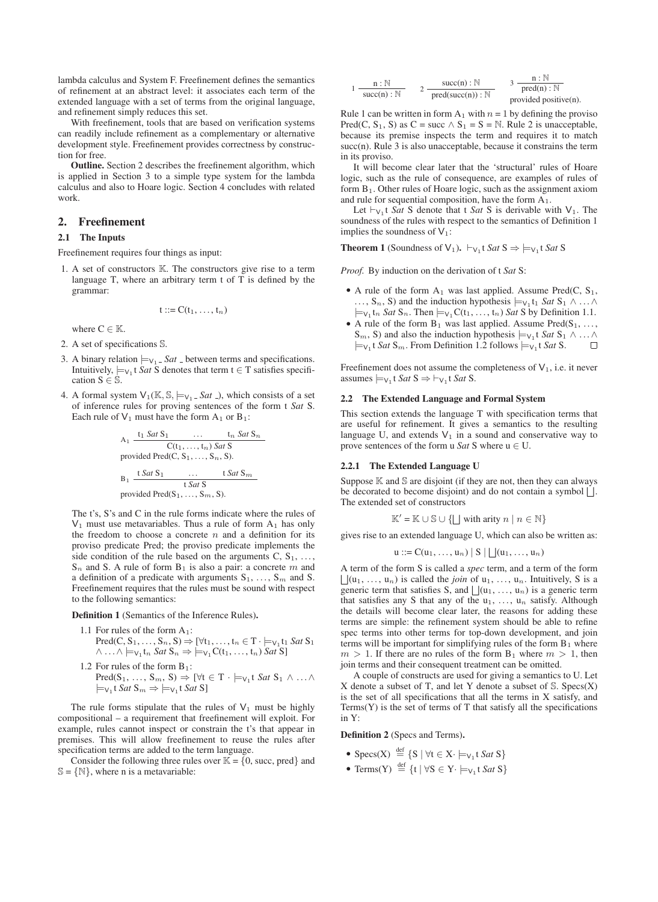lambda calculus and System F. Freefinement defines the semantics of refinement at an abstract level: it associates each term of the extended language with a set of terms from the original language, and refinement simply reduces this set.

With freefinement, tools that are based on verification systems can readily include refinement as a complementary or alternative development style. Freefinement provides correctness by construction for free.

**Outline.** Section 2 describes the freefinement algorithm, which is applied in Section 3 to a simple type system for the lambda calculus and also to Hoare logic. Section 4 concludes with related work.

## **2. Freefinement**

## **2.1 The Inputs**

Freefinement requires four things as input:

1. A set of constructors K. The constructors give rise to a term language T, where an arbitrary term t of T is defined by the grammar:

$$
t ::= C(t_1, \ldots, t_n)
$$

where  $C \in \mathbb{K}$ .

- 2. A set of specifications S.
- 3. A binary relation  $\models v_1$  *Sat n* between terms and specifications. Intuitively,  $\models_{V_1} t \; Sat \; S$  denotes that term  $t \in T$  satisfies specification  $S \in \mathbb{S}$ .
- 4. A formal system  $V_1(K, S, \models_{V_1} Sat)$ , which consists of a set of inference rules for proving sentences of the form t *Sat* S. Each rule of  $V_1$  must have the form  $A_1$  or  $B_1$ :

$$
A_1 \frac{t_1 \, \text{Sat } S_1 \quad \dots \quad t_n \, \text{Sat } S_n}{C(t_1, \dots, t_n) \, \text{Sat } S}
$$
\nprovided Pred(C, S\_1, \dots, S\_n, S).\n
$$
B_1 \frac{t \, \text{Sat } S_1 \quad \dots \quad t \, \text{Sat } S_m}{t \, \text{Sat } S}
$$
\nprovided Pred(S\_1, \dots, S\_m, S).

The t's, S's and C in the rule forms indicate where the rules of  $V_1$  must use metavariables. Thus a rule of form  $A_1$  has only the freedom to choose a concrete  $n$  and a definition for its proviso predicate Pred; the proviso predicate implements the side condition of the rule based on the arguments  $C, S_1, \ldots$ ,  $S_n$  and S. A rule of form  $B_1$  is also a pair: a concrete m and a definition of a predicate with arguments  $S_1, \ldots, S_m$  and S. Freefinement requires that the rules must be sound with respect to the following semantics:

**Definition 1** (Semantics of the Inference Rules)**.** .

- 1.1 For rules of the form  $A_1$ :  $Pred(C, S_1, \ldots, S_n, S) \Rightarrow [\forall t_1, \ldots, t_n \in T \cdot \models_{V_1} t_1 \; \mathit{Sat} \; S_1]$  $\wedge \ldots \wedge \models_{\vee_1} t_n$  *Sat*  $S_n \Rightarrow \models_{\vee_1} C(t_1, \ldots, t_n)$  *Sat* S]
- 1.2 For rules of the form  $B_1$ : Pred(S<sub>1</sub>, ..., S<sub>m</sub>, S)  $\Rightarrow$  [∀t ∈ T ·  $\models$ <sub>V<sub>1</sub></sub>t *Sat* S<sub>1</sub> ∧ ...∧  $\models_{\mathsf{V}_1} \mathsf{t}$  *Sat*  $\mathsf{S}_m \Rightarrow \models_{\mathsf{V}_1} \mathsf{t}$  *Sat*  $\mathsf{S}$ ]

The rule forms stipulate that the rules of  $V_1$  must be highly compositional – a requirement that freefinement will exploit. For example, rules cannot inspect or constrain the t's that appear in premises. This will allow freefinement to reuse the rules after specification terms are added to the term language.

Consider the following three rules over  $\mathbb{K} = \{0, \text{succ}, \text{pred}\}\$ and  $\mathbb{S} = \{ \mathbb{N} \}$ , where n is a metavariable:

1 
$$
\frac{n : \mathbb{N}}{\text{succ}(n) : \mathbb{N}}
$$
 2  $\frac{\text{succ}(n) : \mathbb{N}}{\text{pred}(\text{succ}(n)) : \mathbb{N}}$  3  $\frac{n : \mathbb{N}}{\text{pred}(n) : \mathbb{N}}$   
provided positive(n).

Rule 1 can be written in form  $A_1$  with  $n = 1$  by defining the proviso Pred(C, S<sub>1</sub>, S) as C = succ  $\wedge$  S<sub>1</sub> = S = N. Rule 2 is unacceptable, because its premise inspects the term and requires it to match succ(n). Rule 3 is also unacceptable, because it constrains the term in its proviso.

It will become clear later that the 'structural' rules of Hoare logic, such as the rule of consequence, are examples of rules of form  $B_1$ . Other rules of Hoare logic, such as the assignment axiom and rule for sequential composition, have the form  $A_1$ .

Let  $\vdash_{\mathsf{V}_1}$  t *Sat* S denote that t *Sat* S is derivable with  $\mathsf{V}_1$ . The soundness of the rules with respect to the semantics of Definition 1 implies the soundness of  $V_1$ :

**Theorem 1** (Soundness of  $V_1$ ).  $\vdash_{V_1} t$  *Sat* S  $\Rightarrow \models_{V_1} t$  *Sat* S

*Proof.* By induction on the derivation of t *Sat* S:

- A rule of the form  $A_1$  was last applied. Assume Pred(C,  $S_1$ , ..., S<sub>n</sub>, S) and the induction hypothesis  $\models v_1$ t<sub>1</sub> *Sat* S<sub>1</sub> ∧ ...∧  $\models v_1$  t<sub>n</sub> *Sat* **S**<sub>n</sub>. Then  $\models v_1 C(t_1, ..., t_n)$  *Sat* **S** by Definition 1.1.
- A rule of the form  $B_1$  was last applied. Assume  $Pred(S_1, ...,$  $S_m$ , S) and also the induction hypothesis  $\models v_1$ t *Sat*  $S_1 \wedge ... \wedge \vdots$ <br> $\models v_i$  t *Sat*  $S_m$ . From Definition 1.2 follows  $\models v_i$  t *Sat* S.  $\models v_1$ t *Sat* **S**<sub>m</sub>. From Definition 1.2 follows  $\models v_1$ t *Sat* **S**.

Freefinement does not assume the completeness of  $V_1$ , i.e. it never assumes  $\models_{V_1} t$  *Sat* S ⇒  $\vdash_{V_1} t$  *Sat* S.

#### **2.2 The Extended Language and Formal System**

This section extends the language T with specification terms that are useful for refinement. It gives a semantics to the resulting language U, and extends  $V_1$  in a sound and conservative way to prove sentences of the form u *Sat* S where  $u \in U$ .

#### **2.2.1 The Extended Language U**

Suppose  $K$  and  $S$  are disjoint (if they are not, then they can always be decorated to become disjoint) and do not contain a symbol  $\vert \cdot \vert$ . The extended set of constructors

$$
\mathbb{K}' = \mathbb{K} \cup \mathbb{S} \cup \{\bigsqcup \text{with arity } n \mid n \in \mathbb{N}\}
$$

gives rise to an extended language U, which can also be written as:

$$
u ::= C(u_1, \ldots, u_n) \mid S \mid \bigsqcup(u_1, \ldots, u_n)
$$

A term of the form S is called a *spec* term, and a term of the form  $\bigsqcup(u_1, \ldots, u_n)$  is called the *join* of  $u_1, \ldots, u_n$ . Intuitively, S is a generic term that satisfies S, and  $|(u_1, \ldots, u_n)$  is a generic term that satisfies any S that any of the  $u_1, \ldots, u_n$  satisfy. Although the details will become clear later, the reasons for adding these terms are simple: the refinement system should be able to refine spec terms into other terms for top-down development, and join terms will be important for simplifying rules of the form  $B_1$  where  $m > 1$ . If there are no rules of the form B<sub>1</sub> where  $m > 1$ , then join terms and their consequent treatment can be omitted.

A couple of constructs are used for giving a semantics to U. Let X denote a subset of T, and let Y denote a subset of  $\mathbb{S}$ . Specs(X) is the set of all specifications that all the terms in X satisfy, and  $Terms(Y)$  is the set of terms of T that satisfy all the specifications in Y:

#### **Definition 2** (Specs and Terms)**.** .

- Specs(X)  $\stackrel{\text{def}}{=} \{ S \mid \forall t \in X \cdot \models_{V_1} t \text{ } S \text{ at } S \}$
- Terms(Y)  $\stackrel{\text{def}}{=} \{t \mid \forall S \in Y \cdot \models_{V_1} t \text{ } S \text{ at } S\}$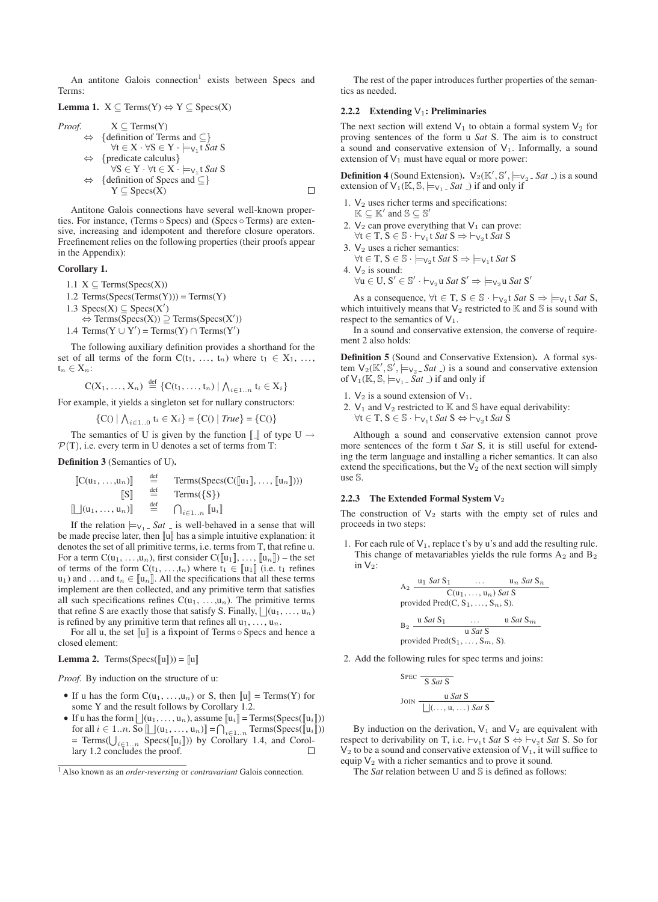An antitone Galois connection<sup>1</sup> exists between Specs and Terms:

**Lemma 1.**  $X \subseteq \text{Terms}(Y) \Leftrightarrow Y \subseteq \text{Specs}(X)$ 

*Proof.* 
$$
X \subseteq Terms(Y)
$$
  
\n
$$
\Leftrightarrow \{definition of Terms and \subseteq\}
$$
  
\n
$$
\forall t \in X \cdot \forall S \in Y \cdot \models_{V_1} t \; \text{Sat } S
$$
  
\n
$$
\Leftrightarrow \{predicate calculus\}
$$
  
\n
$$
\forall S \in Y \cdot \forall t \in X \cdot \models_{V_1} t \; \text{Sat } S
$$
  
\n
$$
\Leftrightarrow \{definition of Specs and \subseteq\}
$$
  
\n
$$
Y \subseteq Specs(X)
$$

Antitone Galois connections have several well-known properties. For instance, (Terms ◦ Specs) and (Specs ◦ Terms) are extensive, increasing and idempotent and therefore closure operators. Freefinement relies on the following properties (their proofs appear in the Appendix):

## **Corollary 1.** .

- 1.1  $X \subseteq Terms(Specs(X))$
- 1.2 Terms( $Specs(Terms(Y)))$  = Terms(Y)
- 1.3 Specs(X)  $\subseteq$  Specs(X')
- $\Leftrightarrow$  Terms(Specs(X))  $\supseteq$  Terms(Specs(X'))
- 1.4 Terms( $Y \cup Y'$ ) = Terms( $Y \cap$ Terms( $Y'$ )

The following auxiliary definition provides a shorthand for the set of all terms of the form  $C(t_1, ..., t_n)$  where  $t_1 \in X_1, ...,$  $t_n \in X_n$ :

$$
C(X_1, \ldots, X_n) \stackrel{\text{def}}{=} \{C(t_1, \ldots, t_n) \mid \bigwedge_{i \in 1 \ldots n} t_i \in X_i\}
$$

For example, it yields a singleton set for nullary constructors:

 ${C() | \bigwedge_{i \in 1..0} t_i \in X_i} = {C() | True} = {C()}$ 

The semantics of U is given by the function  $\llbracket \_ \rrbracket$  of type U  $\rightarrow$  $P(T)$ , i.e. every term in U denotes a set of terms from T:

**Definition 3** (Semantics of U)**.** .

$$
\begin{array}{ccc}\n[C(u_1, \ldots, u_n)] & \stackrel{\text{def}}{=} & \text{Terms}(Specs(C([\![u_1]\!], \ldots, [\![u_n]\!])) \\
[[S] & \stackrel{\text{def}}{=} & \text{Terms}(\{S\}) \\
[[\![u_1, \ldots, u_n\!]] & \stackrel{\text{def}}{=} & \bigcap_{i \in 1..n} [\![u_i]\!] \\
\end{array}
$$

If the relation  $\models_{V_1}$  *Sat i* is well-behaved in a sense that will be made precise later, then  $\llbracket u \rrbracket$  has a simple intuitive explanation: it denotes the set of all primitive terms, i.e. terms from T, that refine u. For a term  $C(u_1, \ldots, u_n)$ , first consider  $C(\llbracket u_1 \rrbracket, \ldots, \llbracket u_n \rrbracket)$  – the set of terms of the form  $C(t_1, \ldots, t_n)$  where  $t_1 \in [u_1]$  (i.e.  $t_1$  refines u<sub>1</sub>) and . . . and  $t_n \in [u_n]$ . All the specifications that all these terms implement are then collected, and any primitive term that satisfies all such specifications refines  $C(u_1, \ldots, u_n)$ . The primitive terms that refine S are exactly those that satisfy S. Finally,  $\bigsqcup(u_1,...,u_n)$ is refined by any primitive term that refines all  $u_1, \ldots, u_n$ .

For all u, the set  $\llbracket u \rrbracket$  is a fixpoint of Terms  $\circ$  Specs and hence a closed element:

**Lemma 2.** Terms( $\text{Specs}([\![u]\!])) = [\![u]\!]$ 

*Proof.* By induction on the structure of u:

- If u has the form  $C(u_1, \ldots, u_n)$  or S, then  $\llbracket u \rrbracket = \text{Terms}(Y)$  for some Y and the result follows by Corollary 1.2.
- If u has the form  $\lfloor (u_1,\ldots,u_n)$ , assume  $\lfloor u_i \rfloor$  = Terms(Specs( $\lfloor u_i \rfloor$ )) for all  $i \in 1..n$ . So  $\left[\left[\bigcup_{i=1}^{n} (u_1, \ldots, u_n)\right] = \bigcap_{i=1...n}^{n} \text{Terms}( \text{Specs}(\left[\left[u_i\right]\right]))$ = Terms( $\bigcup_{i \in 1..n}$  Specs( $[\![u_i]\!]$ )) by Corollary 1.4, and Corollary 1.2 concludes the proof.

The rest of the paper introduces further properties of the semantics as needed.

#### **2.2.2** Extending  $V_1$ : Preliminaries

The next section will extend  $V_1$  to obtain a formal system  $V_2$  for proving sentences of the form u *Sat* S. The aim is to construct a sound and conservative extension of  $V_1$ . Informally, a sound extension of  $V_1$  must have equal or more power:

**Definition 4** (Sound Extension).  $V_2(K', S', \models_{V_2} Sat)$  is a sound extension of  $V_1(K, S, \models_{V_1} Sat)$  if and only if

- 1.  $V_2$  uses richer terms and specifications:  $\mathbb{K} \subseteq \mathbb{K}'$  and  $\mathbb{S} \subseteq \mathbb{S}'$
- 2.  $V_2$  can prove everything that  $V_1$  can prove:  $\forall t \in T, S \in \mathbb{S} \cdot \vdash_{V_1} t \; Sat \; S \Rightarrow \vdash_{V_2} t \; Sat \; S$
- 3.  $V_2$  uses a richer semantics:  $\forall t \in T, S \in \mathbb{S} \cdot \models_{V_2} t \text{ } S \text{ at } S \Rightarrow \models_{V_1} t \text{ } S \text{ at } S$
- 4.  $V_2$  is sound:  $\forall u \in U, S' \in \mathbb{S}' \cdot \vdash_{\mathsf{V}_2} u \mathit{Sat} \mathit{S}' \Rightarrow \models_{\mathsf{V}_2} u \mathit{Sat} \mathit{S}'$

As a consequence,  $\forall t \in T$ ,  $S \in \mathbb{S} \cdot \vdash_{\forall_2} t \; S \; dt \; S \Rightarrow \models_{\forall_1} t \; S \; dt \; S$ , which intuitively means that  $V_2$  restricted to  $\mathbb K$  and  $\mathbb S$  is sound with respect to the semantics of  $V_1$ .

In a sound and conservative extension, the converse of requirement 2 also holds:

**Definition 5** (Sound and Conservative Extension)**.** A formal system  $V_2(K', S', \models_{V_2} Sat$ . is a sound and conservative extension of  $V_1(K, S, \models_{V_1} Sat)$  if and only if

- 1.  $V_2$  is a sound extension of  $V_1$ .
- 2.  $V_1$  and  $V_2$  restricted to  $K$  and  $S$  have equal derivability:  $\forall$ t ∈ T, S ∈ S ·  $\vdash_{V_1}$ t *Sat* S ⇔  $\vdash_{V_2}$ t *Sat* S

Although a sound and conservative extension cannot prove more sentences of the form t *Sat* S, it is still useful for extending the term language and installing a richer semantics. It can also extend the specifications, but the  $V_2$  of the next section will simply use S.

#### **2.2.3** The Extended Formal System  $\vee_2$

The construction of  $V_2$  starts with the empty set of rules and proceeds in two steps:

1. For each rule of  $V_1$ , replace t's by u's and add the resulting rule. This change of metavariables yields the rule forms  $A_2$  and  $B_2$ in  $V_2$ :

A<sub>2</sub> 
$$
\frac{u_1 \, \text{Sat } S_1 \, \ldots \, u_n \, \text{Sat } S_n}{C(u_1, \ldots, u_n) \, \text{Sat } S}
$$
  
provided Pred(C, S<sub>1</sub>, ..., S<sub>n</sub>, S).

$$
B_2 \frac{\text{u} \, \text{Sat } S_1 \quad \dots \quad \text{u} \, \text{Sat } S_m}{\text{u} \, \text{Sat } S}
$$
\nprovided Pred $(S_1, \dots, S_m, S)$ .

2. Add the following rules for spec terms and joins:

$$
SPEC = \frac{S\, Sat\, S}{S\, Sat\, S}
$$
  
John 
$$
u\, Sat\, S
$$

$$
\boxed{(\dots, u, \dots) \, Sat\, S}
$$

By induction on the derivation,  $V_1$  and  $V_2$  are equivalent with respect to derivability on T, i.e.  $\vdash_{V_1} t$  *Sat* S  $\Leftrightarrow \vdash_{V_2} t$  *Sat* S. So for  $V_2$  to be a sound and conservative extension of  $V_1$ , it will suffice to equip  $V_2$  with a richer semantics and to prove it sound.

The *Sat* relation between U and S is defined as follows:

<sup>1</sup> Also known as an *order-reversing* or *contravariant* Galois connection.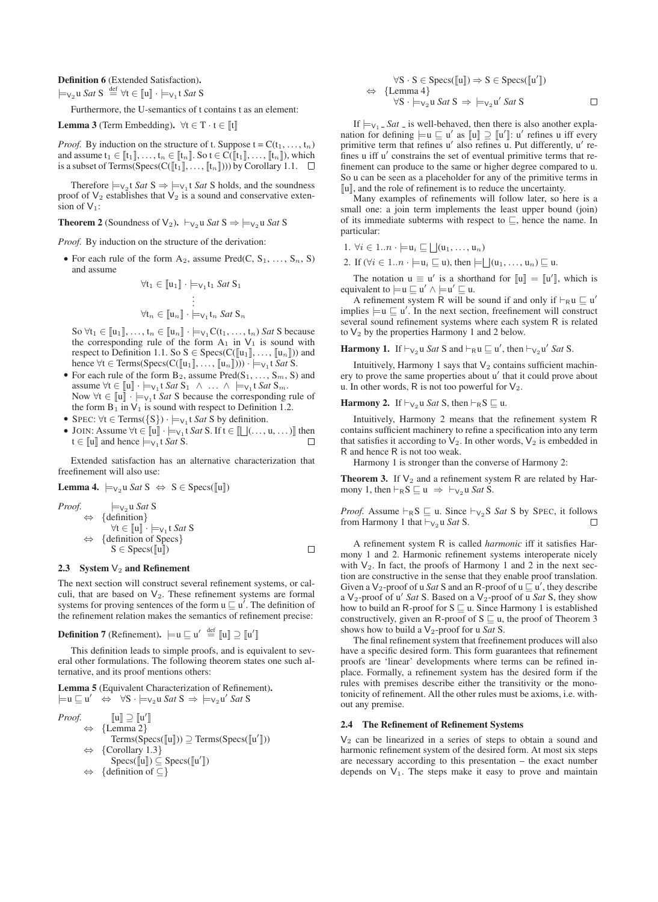**Definition 6** (Extended Satisfaction)**.** .

 $\models_{\mathsf{V}_2} \mathsf{u}$  *Sat*  $S \stackrel{\text{def}}{=} \forall \mathsf{t} \in [\![\mathsf{u}]\!] \cdot \models_{\mathsf{V}_1} \mathsf{t}$  *Sat* S

Furthermore, the U-semantics of t contains t as an element:

**Lemma 3** (Term Embedding). 
$$
\forall t \in T \cdot t \in [t]
$$

*Proof.* By induction on the structure of t. Suppose  $t = C(t_1, \ldots, t_n)$ and assume  $t_1 \in [\![t_1]\!]$ , ...,  $t_n \in [\![t_n]\!]$ . So  $t \in C([\![t_1]\!], \ldots, [\![t_n]\!])$ , which is a subset of Terms(Specs(C( $[[t_1]],..., [[t_n]])$ )) by Corollary 1.1.  $\Box$ 

Therefore  $\models_{\forall_2} t \; S \; dt \; S \Rightarrow \models_{\forall_1} t \; S \; dt \; S \; holds,$  and the soundness proof of  $V_2$  establishes that  $V_2$  is a sound and conservative extension of  $V_1$ :

**Theorem 2** (Soundness of  $V_2$ ).  $\vdash_{V_2}$ u *Sat* S  $\Rightarrow \vdash_{V_2}$ u *Sat* S

*Proof.* By induction on the structure of the derivation:

• For each rule of the form  $A_2$ , assume Pred(C,  $S_1, \ldots, S_n, S$ ) and assume

$$
\forall t_1 \in [\![u_1]\!] \cdot [\models_{V_1} t_1 \text{ Sat } S_1
$$

$$
\vdots
$$

$$
\forall t_n \in [\![u_n]\!] \cdot [\models_{V_1} t_n \text{ Sat } S_n]
$$

So  $\forall t_1 \in [\![u_1]\!], \ldots, t_n \in [\![u_n]\!] \cdot \models_{V_1} C(t_1, \ldots, t_n)$  *Sat* S because the corresponding rule of the form  $A_1$  in  $V_1$  is sound with respect to Definition 1.1. So S  $\in$  Specs(C( $[[u_1]], \ldots, [[u_n]])$ ) and hence  $\forall$ t ∈ Terms(Specs(C( $[[u_1]], \ldots, [[u_n]])$ )) ·  $\models_{V_1}$ t *Sat* S.

- For each rule of the form  $B_2$ , assume  $Pred(S_1, ..., S_m, S)$  and assume  $\forall t \in [\![u]\!] \cdot \models_{V_1} t \; Sat \; S_1 \; \wedge \; \ldots \; \wedge \; \models_{V_1} t \; Sat \; S_m.$ Now  $\forall t \in \llbracket u \rrbracket$  ·  $\models v_1$  *t Sat* S because the corresponding rule of the form  $B_1$  in  $V_1$  is sound with respect to Definition 1.2.
- SPEC:  $\forall t \in Terms({S}) \cdot \models_{V_1} t \; Sat \; S \; by \; definition.$
- JOIN: Assume  $\forall t \in [u] \cdot \models_{V_1} t \text{ } S \text{ } at \text{ } S$ . If  $t \in [[\bigsqcup(\ldots, u, \ldots)]]$  then  $t \in [u]$  and hence  $\models_{V_1} t \text{ } S \text{ } at \text{ } S$ .  $t \in [u]$  and hence  $\models_{V_1} t \hat{S}at \hat{S}$ .

Extended satisfaction has an alternative characterization that freefinement will also use:

**Lemma 4.**  $\models_{\mathsf{V}_2} \mathsf{u}$  *Sat*  $S \Leftrightarrow S \in \text{Specs}([\![\mathsf{u}]\!])$ 

*Proof.*  
\n
$$
\Leftrightarrow \{\text{definition}\}\
$$
\n
$$
\Leftrightarrow \{\text{definition}\}\
$$
\n
$$
\Leftrightarrow \{\text{definition of } \text{Spec}\}\
$$
\n
$$
\Leftrightarrow \{\text{definition of } \text{Spec}\}\
$$
\n
$$
S \in \text{Spec}([\![u]\!])
$$

#### **2.3** System  $\sqrt{2}$  and Refinement

The next section will construct several refinement systems, or calculi, that are based on  $V_2$ . These refinement systems are formal systems for proving sentences of the form  $u \sqsubseteq u'$ . The definition of the refinement relation makes the semantics of refinement precise:

**Definition 7** (Refinement).  $\models u \sqsubseteq u' \stackrel{\text{def}}{=} [u] \supseteq [u']$ 

This definition leads to simple proofs, and is equivalent to several other formulations. The following theorem states one such alternative, and its proof mentions others:

**Lemma 5** (Equivalent Characterization of Refinement)**.** .  $\models u \sqsubseteq u' \Leftrightarrow \forall S \cdot \models_{\vee_2} u \; Sat \; S \Rightarrow \models_{\vee_2} u' \; Sat \; S$ 

*Proof.* 
$$
\begin{array}{rcl}\n\downarrow & \downarrow & \downarrow \\
\downarrow & \downarrow & \downarrow \\
\downarrow & \downarrow & \downarrow \\
\downarrow & \downarrow & \downarrow \\
\downarrow & \downarrow & \downarrow \\
\downarrow & \downarrow & \downarrow \\
\downarrow & \downarrow & \downarrow \\
\downarrow & \downarrow & \downarrow \\
\downarrow & \downarrow & \downarrow \\
\downarrow & \downarrow & \downarrow \\
\downarrow & \downarrow & \downarrow \\
\downarrow & \downarrow & \downarrow \\
\downarrow & \downarrow & \downarrow \\
\downarrow & \downarrow & \downarrow \\
\downarrow & \downarrow & \downarrow \\
\downarrow & \downarrow & \downarrow \\
\downarrow & \downarrow & \downarrow \\
\downarrow & \downarrow & \downarrow \\
\downarrow & \downarrow & \downarrow \\
\downarrow & \downarrow & \downarrow \\
\downarrow & \downarrow & \downarrow \\
\downarrow & \downarrow & \downarrow \\
\downarrow & \downarrow & \downarrow \\
\downarrow & \downarrow & \downarrow \\
\downarrow & \downarrow & \downarrow \\
\downarrow & \downarrow & \downarrow \\
\downarrow & \downarrow & \downarrow \\
\downarrow & \downarrow & \downarrow \\
\downarrow & \downarrow & \downarrow \\
\downarrow & \downarrow & \downarrow \\
\downarrow & \downarrow & \downarrow \\
\downarrow & \downarrow & \downarrow \\
\downarrow & \downarrow & \downarrow \\
\downarrow & \downarrow & \downarrow \\
\downarrow & \downarrow & \downarrow \\
\downarrow & \downarrow & \downarrow \\
\downarrow & \downarrow & \downarrow \\
\downarrow & \downarrow & \downarrow \\
\downarrow & \downarrow & \downarrow \\
\downarrow & \downarrow & \downarrow \\
\downarrow & \downarrow & \downarrow \\
\downarrow & \downarrow & \downarrow \\
\downarrow & \downarrow & \downarrow \\
\downarrow & \downarrow & \downarrow \\
\downarrow & \downarrow & \downarrow \\
\downarrow & \downarrow & \downarrow \\
\downarrow & \downarrow & \downarrow \\
\downarrow & \downarrow & \downarrow \\
\downarrow & \downarrow & \downarrow \\
\downarrow & \downarrow & \downarrow \\
\downarrow & \downarrow & \downarrow \\
\downarrow & \downarrow & \downarrow \\
\downarrow & \downarrow & \downarrow \\
\downarrow & \downarrow & \downarrow \\
\downarrow & \downarrow & \downarrow \\
\downarrow & \downarrow & \downarrow \\
\downarrow & \downarrow & \downarrow \\
\downarrow & \downarrow & \downarrow \\
\downarrow & \downarrow & \downarrow \\
\downarrow & \downarrow & \downarrow \\
\downarrow & \downarrow & \downarrow \\
\downarrow & \downarrow & \downarrow \\
$$

$$
\forall S \cdot S \in \text{Specs}([\![u]\!]) \Rightarrow S \in \text{Specs}([\![u']\!])
$$
  
\n
$$
\Leftrightarrow \{\text{Lemma 4}\}\n\quad \forall S \cdot \models_{\forall_2} u \text{ Sat } S \Rightarrow \models_{\forall_2} u' \text{ Sat } S \Box
$$

If  $\models v_1$  *Sat i*s well-behaved, then there is also another explanation for defining  $\models u \sqsubseteq u'$  as  $\llbracket u \rrbracket \supseteq \llbracket u' \rrbracket$ :  $u'$  refines u iff every primitive term that refines u' also refines u. Put differently, u' refines u iff u' constrains the set of eventual primitive terms that refinement can produce to the same or higher degree compared to u. So u can be seen as a placeholder for any of the primitive terms in [[u]], and the role of refinement is to reduce the uncertainty.

Many examples of refinements will follow later, so here is a small one: a join term implements the least upper bound (join) of its immediate subterms with respect to  $\sqsubseteq$ , hence the name. In particular:

1. 
$$
\forall i \in 1..n \cdot \models u_i \sqsubseteq \bigsqcup(u_1, ..., u_n)
$$

2. If  $(\forall i \in 1..n \cdot \models u_i \sqsubseteq u)$ , then  $\models \bigsqcup(u_1,..., u_n) \sqsubseteq u$ .

The notation  $u \equiv u'$  is a shorthand for  $\|u\| = \|u'\|$ , which is equivalent to  $\models u \sqsubseteq u' \land \models u' \sqsubseteq u$ .

A refinement system R will be sound if and only if  $\vdash_{\mathsf{R}} u \sqsubseteq u'$ implies  $\models u \sqsubseteq u'$ . In the next section, freefinement will construct several sound refinement systems where each system R is related to  $V_2$  by the properties Harmony 1 and 2 below.

**Harmony 1.** If  $\vdash_{\mathsf{V}_2}$  u *Sat* S and  $\vdash_{\mathsf{R}}$  u  $\sqsubseteq$  u', then  $\vdash_{\mathsf{V}_2}$  u' *Sat* S.

Intuitively, Harmony 1 says that  $V_2$  contains sufficient machinery to prove the same properties about u' that it could prove about u. In other words, R is not too powerful for  $V_2$ .

## **Harmony 2.** If  $\vdash_{\mathsf{V}_2}$  u *Sat* S, then  $\vdash_{\mathsf{R}} S \sqsubseteq$  u.

Intuitively, Harmony 2 means that the refinement system R contains sufficient machinery to refine a specification into any term that satisfies it according to  $V_2$ . In other words,  $V_2$  is embedded in R and hence R is not too weak.

Harmony 1 is stronger than the converse of Harmony 2:

**Theorem 3.** If  $V_2$  and a refinement system R are related by Harmony 1, then  $\vdash_R S \sqsubseteq u \Rightarrow \vdash_{\mathsf{V}_2} u \mathsf{S} \subseteq X$ .

*Proof.* Assume  $\vdash$ <sub>R</sub>S  $\sqsubseteq$  u. Since  $\vdash$ <sub>V<sub>2</sub>S *Sat* S by SPEC, it follows from Harmony 1 that  $\vdash$ <sub>V</sub>, u *Sat* S</sub> from Harmony 1 that  $\vdash_{\mathsf{V}_2}$ u *Sat* S.

A refinement system R is called *harmonic* iff it satisfies Harmony 1 and 2. Harmonic refinement systems interoperate nicely with  $V_2$ . In fact, the proofs of Harmony 1 and 2 in the next section are constructive in the sense that they enable proof translation. Given a  $\vee_2$ -proof of u *Sat* S and an R-proof of u  $\sqsubseteq$  u', they describe a V<sub>2</sub>-proof of u' *Sat* S. Based on a V<sub>2</sub>-proof of u *Sat* S, they show how to build an R-proof for  $S \sqsubseteq u$ . Since Harmony 1 is established constructively, given an R-proof of  $S \sqsubseteq u$ , the proof of Theorem 3 shows how to build a  $V_2$ -proof for u *Sat* S.

The final refinement system that freefinement produces will also have a specific desired form. This form guarantees that refinement proofs are 'linear' developments where terms can be refined inplace. Formally, a refinement system has the desired form if the rules with premises describe either the transitivity or the monotonicity of refinement. All the other rules must be axioms, i.e. without any premise.

# **2.4 The Refinement of Refinement Systems**

 $V_2$  can be linearized in a series of steps to obtain a sound and harmonic refinement system of the desired form. At most six steps are necessary according to this presentation – the exact number depends on  $V_1$ . The steps make it easy to prove and maintain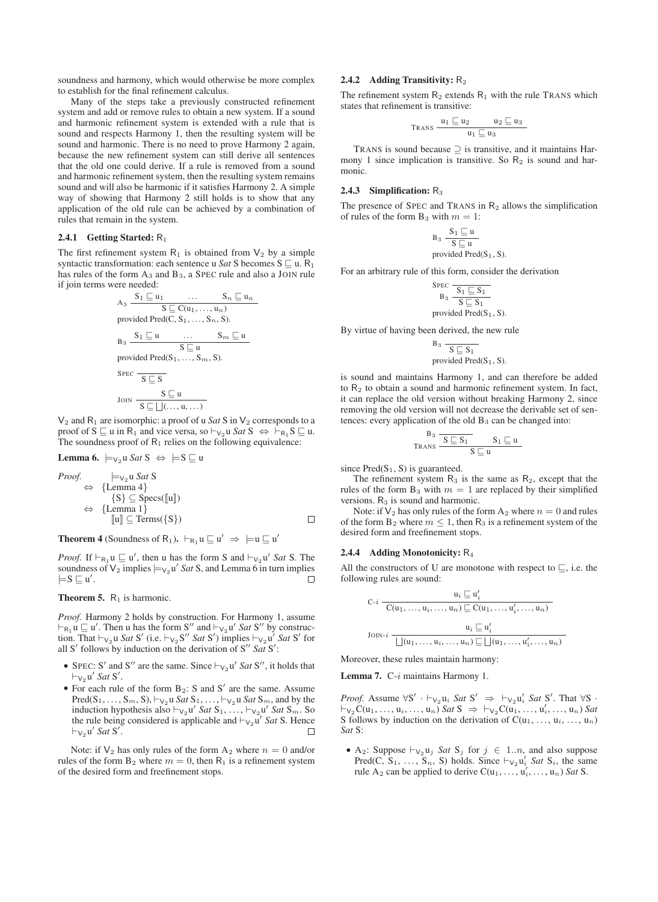soundness and harmony, which would otherwise be more complex to establish for the final refinement calculus.

Many of the steps take a previously constructed refinement system and add or remove rules to obtain a new system. If a sound and harmonic refinement system is extended with a rule that is sound and respects Harmony 1, then the resulting system will be sound and harmonic. There is no need to prove Harmony 2 again, because the new refinement system can still derive all sentences that the old one could derive. If a rule is removed from a sound and harmonic refinement system, then the resulting system remains sound and will also be harmonic if it satisfies Harmony 2. A simple way of showing that Harmony 2 still holds is to show that any application of the old rule can be achieved by a combination of rules that remain in the system.

#### **2.4.1 Getting Started:** R<sup>1</sup>

The first refinement system  $R_1$  is obtained from  $V_2$  by a simple syntactic transformation: each sentence u *Sat* S becomes  $S \sqsubset u$ . R<sub>1</sub> has rules of the form A<sub>3</sub> and B<sub>3</sub>, a SPEC rule and also a JOIN rule if join terms were needed:

A<sub>3</sub> 
$$
\frac{S_1 \sqsubseteq u_1 \qquad \dots \qquad S_n \sqsubseteq u_n}{S \sqsubseteq C(u_1, \dots, u_n)}
$$
\nprovided Pred(C, S<sub>1</sub>, ..., S<sub>n</sub>, S).  
\nB<sub>3</sub> 
$$
\frac{S_1 \sqsubseteq u \qquad \dots \qquad S_m \sqsubseteq u}{S \sqsubseteq u}
$$
\nprovided Pred(S<sub>1</sub>, ..., S<sub>m</sub>, S).  
\nSPEC 
$$
\frac{S \sqsubseteq S}{S \sqsubseteq S}
$$
\nJoin 
$$
\frac{S \sqsubseteq u}{S \sqsubseteq \sqcup(\dots, u, \dots)}
$$

 $V_2$  and  $R_1$  are isomorphic: a proof of u *Sat* S in  $V_2$  corresponds to a proof of  $S \sqsubseteq u$  in R<sub>1</sub> and vice versa, so  $\vdash_{V_2} u$  *Sat*  $S \Leftrightarrow \vdash_{R_1} S \sqsubseteq u$ . The soundness proof of  $R_1$  relies on the following equivalence:

**Lemma 6.** 
$$
\models
$$
 $\vee_2$ u *Sat* S  $\Leftrightarrow \models S \sqsubseteq$  u

*Proof.* 
$$
\models_{V_2} u \text{ } Sa \text{ } S
$$
  
\n $\Leftrightarrow \{\text{Lemma 4}\}\$   
\n $\{S\} \subseteq \text{Specs}([u])$   
\n $\Leftrightarrow \{\text{Lemma 1}\}\$   
\n $[u] \subseteq \text{Terms}(\{S\})$  □

**Theorem 4** (Soundness of R<sub>1</sub>).  $\vdash_{R_1} u \sqsubseteq u' \Rightarrow \models u \sqsubseteq u'$ 

*Proof.* If  $\vdash_{R_1} u \sqsubseteq u'$ , then u has the form S and  $\vdash_{V_2} u'$  Sat S. The soundness of  $V_2$  implies  $\models v_2$ u' *Sat* S, and Lemma 6 in turn implies  $\models S \sqsubseteq u'.$ П

## **Theorem 5.**  $R_1$  is harmonic.

*Proof.* Harmony 2 holds by construction. For Harmony 1, assume  $\vdash_{\mathsf{R}_1}$ u  $\sqsubseteq$  u'. Then u has the form S'' and  $\vdash_{\mathsf{V}_2}$ u' *Sat* S'' by construction. That  $\vdash_{\mathsf{V}_2}$ u *Sat* S' (i.e.  $\vdash_{\mathsf{V}_2}$ S'' *Sat* S') implies  $\vdash_{\mathsf{V}_2}$ u' *Sat* S' for all S' follows by induction on the derivation of  $S''$  *Sat* S':

- SPEC: S' and S'' are the same. Since  $\vdash_{\mathsf{V}_2} \mathsf{u}'$  *Sat* S'', it holds that  $\vdash_{\mathsf{V}_2} \mathsf{u}'$  *Sat* **S'**.
- For each rule of the form  $B_2$ : S and S' are the same. Assume  $Pred(S_1, ..., S_m, S), \vdash_{V_2} u \; Sat \; S_1, ..., \vdash_{V_2} u \; Sat \; S_m$ , and by the induction hypothesis also  $\vdash_{\mathsf{V}_2} \mathsf{u}'$  *Sat*  $S_1, \ldots, \vdash_{\mathsf{V}_2} \mathsf{u}'$  *Sat*  $S_m$ . So the rule being considered is applicable and  $\vdash_{\mathsf{V}_2} \mathsf{u}'$  *Sat* S. Hence  $\vdash_{\mathsf{V}_2}$ u' *Sat* **S'**.  $\Box$

Note: if  $V_2$  has only rules of the form  $A_2$  where  $n = 0$  and/or rules of the form  $B_2$  where  $m = 0$ , then  $R_1$  is a refinement system of the desired form and freefinement stops.

#### **2.4.2** Adding Transitivity: R<sub>2</sub>

The refinement system  $R_2$  extends  $R_1$  with the rule TRANS which states that refinement is transitive:

$$
Trans \frac{u_1 \sqsubseteq u_2 \qquad u_2 \sqsubseteq u_3}{u_1 \sqsubseteq u_3}
$$

TRANS is sound because  $\supseteq$  is transitive, and it maintains Harmony 1 since implication is transitive. So  $R_2$  is sound and harmonic.

#### **2.4.3 Simplification:** R<sup>3</sup>

The presence of SPEC and TRANS in  $R_2$  allows the simplification of rules of the form  $B_3$  with  $m = 1$ :

B<sub>3</sub> 
$$
\frac{S_1 \sqsubseteq u}{S \sqsubseteq u}
$$
 provided Pred(S<sub>1</sub>, S).

For an arbitrary rule of this form, consider the derivation

$$
SPEC \nB3 \nS1 \nS2 \nS1 \nS4 \nS5 \nS1 \nS1 \nS2 \nS1 \nS2 \nS1 \nS2 \nS1 \nS2 \nS1 \nS2 \nS1 \nS2 \nS1 \nS2 \nS1 \nS2 \nS1 \nS2 \nS1 \nS2 \nS1 \nS2 \nS1 \nS2 \nS1 \nS2 \nS2 \nS1 \nS2 \nS2 \nS1 \nS2 \nS1 \nS2 \nS2 \nS1 \nS2 \nS2 \nS1 \nS2 \nS2 \nS2 \nS1 \nS2 \nS2 \nS1 \nS2 \nS2 \nS2 \nS1 \nS2 \nS2 \nS2 \nS1 \nS2 \nS<
$$

By virtue of having been derived, the new rule

$$
B_3 \overline{S \subseteq S_1}
$$
 provided Pred $(S_1, S)$ .

is sound and maintains Harmony 1, and can therefore be added to  $R_2$  to obtain a sound and harmonic refinement system. In fact, it can replace the old version without breaking Harmony 2, since removing the old version will not decrease the derivable set of sentences: every application of the old  $B_3$  can be changed into:

$$
\frac{B_3}{TRANS} \frac{S \sqsubseteq S_1}{S \sqsubseteq u} \frac{S_1 \sqsubseteq u}{S \sqsubseteq u}
$$

since  $Pred(S_1, S)$  is guaranteed.

The refinement system  $R_3$  is the same as  $R_2$ , except that the rules of the form  $B_3$  with  $m = 1$  are replaced by their simplified versions.  $R_3$  is sound and harmonic.

Note: if  $V_2$  has only rules of the form  $A_2$  where  $n = 0$  and rules of the form  $B_2$  where  $m \leq 1$ , then  $R_3$  is a refinement system of the desired form and freefinement stops.

#### **2.4.4 Adding Monotonicity:** R<sup>4</sup>

All the constructors of U are monotone with respect to  $\Box$ , i.e. the following rules are sound:

$$
C-i \frac{u_i \sqsubseteq u'_i}{C(u_1, \ldots, u_i, \ldots, u_n) \sqsubseteq C(u_1, \ldots, u'_i, \ldots, u_n)}
$$
  
Join-i 
$$
\frac{u_i \sqsubseteq u'_i}{\bigsqcup(u_1, \ldots, u_i, \ldots, u_n) \sqsubseteq \bigsqcup(u_1, \ldots, u'_i, \ldots, u_n)}
$$

Moreover, these rules maintain harmony:

**Lemma 7.** C-i maintains Harmony 1.

*Proof.* Assume  $\forall S' \cdot \vdash_{V_2} u_i$  *Sat*  $S' \Rightarrow \vdash_{V_2} u'_i$  *Sat*  $S'$ . That  $\forall S \cdot$  $\vdash_{\mathsf{V}_2} \mathsf{C}(\mathsf{u}_1,\ldots,\mathsf{u}_i,\ldots,\mathsf{u}_n)$  *Sat*  $S \Rightarrow \vdash_{\mathsf{V}_2} \mathsf{C}(\mathsf{u}_1,\ldots,\mathsf{u}'_i,\ldots,\mathsf{u}_n)$  *Sat* S follows by induction on the derivation of  $C(u_1, \ldots, u_i, \ldots, u_n)$ *Sat* S:

• A<sub>2</sub>: Suppose  $\vdash_{\mathsf{V}_2} \mathsf{u}_j$  *Sat*  $\mathsf{S}_j$  for  $j \in 1..n$ , and also suppose Pred(C, S<sub>1</sub>, ..., S<sub>n</sub>, S) holds. Since  $\vdash_{\mathsf{V}_2} \mathsf{u}'_i$  *Sat* S<sub>i</sub>, the same rule A<sub>2</sub> can be applied to derive  $C(u_1, ..., u'_i, ..., u_n)$  *Sat* S.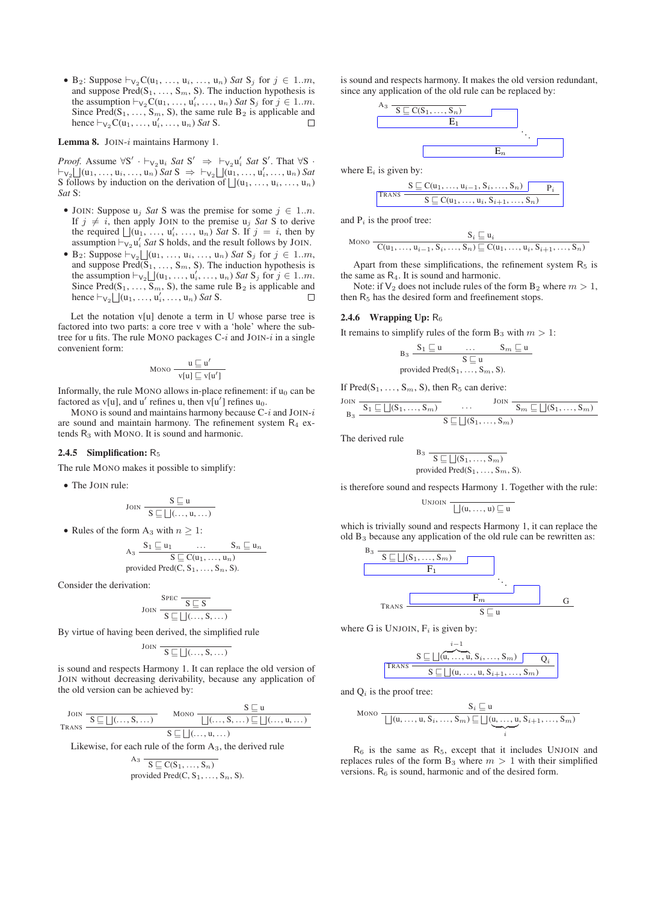• B<sub>2</sub>: Suppose  $\vdash_{\mathsf{V}_2} \mathsf{C}(\mathsf{u}_1, \ldots, \mathsf{u}_i, \ldots, \mathsf{u}_n)$  *Sat* S<sub>j</sub> for  $j \in 1..m$ , and suppose  $Pred(S_1, ..., S_m, S)$ . The induction hypothesis is the assumption  $\vdash_{\mathsf{V}_2} C(u_1, \ldots, u'_i, \ldots, u_n)$  *Sat*  $S_j$  for  $j \in 1..m$ . Since Pred( $S_1, \ldots, S_m, S$ ), the same rule  $B_2$  is applicable and hence  $\vdash_{\mathsf{V}_2} C(u_1,\ldots,u'_i,\ldots,u_n)$  *Sat* S. П

**Lemma 8.** JOIN-i maintains Harmony 1.

*Proof.* Assume  $\forall S' \cdot \vdash_{V_2} u_i$  *Sat*  $S' \Rightarrow \vdash_{V_2} u'_i$  *Sat*  $S'$ . That  $\forall S \cdot$  $\vdash_{\mathsf{V}_2} \bigsqcup(\mathsf{u}_1,\ldots,\mathsf{u}_i,\ldots,\mathsf{u}_n)$  *Sat*  $\mathsf{S} \Rightarrow \vdash_{\mathsf{V}_2} \bigsqcup(\mathsf{u}_1,\ldots,\mathsf{u}'_i,\ldots,\mathsf{u}_n)$  *Sat* S follows by induction on the derivation of  $|(u_1, \ldots, u_i, \ldots, u_n)|$ *Sat* S:

- JOIN: Suppose  $u_j$  *Sat* S was the premise for some  $j \in 1..n$ . If  $j \neq i$ , then apply JOIN to the premise  $u_j$  *Sat* S to derive the required  $\bigsqcup (u_1, \ldots, u'_i, \ldots, u_n)$  *Sat* S. If  $j = i$ , then by assumption  $\vdash_{\mathsf{V}_2} \mathsf{u}'_i$  *Sat* S holds, and the result follows by JOIN.
- B<sub>2</sub>: Suppose  $\vdash_{\mathsf{V}_2} \bigsqcup(u_1, \ldots, u_i, \ldots, u_n)$  *Sat* S<sub>j</sub> for  $j \in 1..m$ , and suppose  $Pred(S_1, ..., S_m, S)$ . The induction hypothesis is the assumption  $\vdash_{\mathsf{V}_2} \bigsqcup(\mathsf{u}_1,\ldots,\mathsf{u}'_i,\ldots,\mathsf{u}_n)$  *Sat*  $\mathsf{S}_j$  for  $j \in 1..m$ . Since Pred( $S_1, \ldots, S_m, S$ ), the same rule  $B_2$  is applicable and hence  $\vdash_{\mathsf{V}_2} \bigsqcup(\mathsf{u}_1,\ldots,\mathsf{u}'_i,\ldots,\mathsf{u}_n)$  *Sat* S.  $\Box$

Let the notation v[u] denote a term in U whose parse tree is factored into two parts: a core tree v with a 'hole' where the subtree for u fits. The rule MONO packages  $C-i$  and JOIN-i in a single convenient form:

$$
\text{Mono } \frac{u \sqsubseteq u'}{v[u] \sqsubseteq v[u']}
$$

Informally, the rule MONO allows in-place refinement: if  $u_0$  can be factored as  $v[u]$ , and  $u'$  refines u, then  $v[u']$  refines  $u_0$ .

MONO is sound and maintains harmony because  $C-i$  and  $J$ OIN- $i$ are sound and maintain harmony. The refinement system  $R_4$  extends  $R_3$  with MONO. It is sound and harmonic.

#### **2.4.5 Simplification:** R<sub>5</sub>

The rule MONO makes it possible to simplify:

• The JOIN rule:

$$
\text{Join } \frac{S \sqsubseteq u}{S \sqsubseteq \bigsqcup (\ldots, u, \ldots)}
$$

• Rules of the form  $A_3$  with  $n \geq 1$ :

$$
A_3 \frac{S_1 \sqsubseteq u_1 \cdots S_n \sqsubseteq u_n}{S \sqsubseteq C(u_1, \ldots, u_n)}
$$
provided Pred(C, S<sub>1</sub>, ..., S<sub>n</sub>, S).

Consider the derivation:

$$
\text{Join } \frac{\text{Spec } \frac{}{\mathsf{S} \sqsubseteq \mathsf{S}}}{\mathsf{S} \sqsubseteq \bigsqcup(\ldots, \mathsf{S}, \ldots)}
$$

By virtue of having been derived, the simplified rule

$$
\text{Join } \frac{}{S \sqsubseteq \bigsqcup(\ldots, S, \ldots)}
$$

is sound and respects Harmony 1. It can replace the old version of JOIN without decreasing derivability, because any application of the old version can be achieved by:

$$
\frac{\text{Join}}{\text{Trans}} \frac{S \sqsubseteq \sqcup(\dots, S, \dots)}{S \sqsubseteq \sqcup(\dots, S, \dots)} \quad \frac{\text{Mono}}{\sqcup(\dots, S, \dots) \sqsubseteq \sqcup(\dots, u, \dots)} \\ S \sqsubseteq \sqcup(\dots, u, \dots)
$$

Likewise, for each rule of the form  $A_3$ , the derived rule

$$
\frac{\mathsf{A}_3 \cdot \overline{\mathsf{S} \sqsubseteq \mathsf{C}(\mathsf{S}_1, \dots, \mathsf{S}_n)}}{\text{provided Pred}(\mathsf{C}, \mathsf{S}_1, \dots, \mathsf{S}_n, \mathsf{S})}.
$$

is sound and respects harmony. It makes the old version redundant, since any application of the old rule can be replaced by:



where  $E_i$  is given by:



and  $P_i$  is the proof tree:

$$
\text{MONo } \frac{S_i \sqsubseteq u_i}{C(u_1, \ldots, u_{i-1}, S_i, \ldots, S_n) \sqsubseteq C(u_1, \ldots, u_i, S_{i+1}, \ldots, S_n)}
$$

Apart from these simplifications, the refinement system  $R_5$  is the same as  $R_4$ . It is sound and harmonic.

Note: if  $V_2$  does not include rules of the form  $B_2$  where  $m > 1$ , then R<sub>5</sub> has the desired form and freefinement stops.

#### **2.4.6 Wrapping Up:** R<sup>6</sup>

It remains to simplify rules of the form  $B_3$  with  $m > 1$ :

B<sub>3</sub> 
$$
\frac{S_1 \sqsubseteq u \qquad \dots \qquad S_m \sqsubseteq u}{S \sqsubseteq u}
$$
provided Pred $(S_1, \dots, S_m, S)$ .

If  $Pred(S_1, ..., S_m, S)$ , then  $R_5$  can derive:

$$
\frac{\text{Join}}{B_3} \frac{\overline{S_1 \sqsubseteq \bigcup(S_1, \ldots, S_m)} \qquad \ldots \qquad \text{Join } \overline{S_m \sqsubseteq \bigcup(S_1, \ldots, S_m)}
$$

$$
S \sqsubseteq \bigcup(S_1, \ldots, S_m)
$$

The derived rule

B<sub>3</sub> 
$$
\overline{S \sqsubseteq \bigcup(S_1, \ldots, S_m)}
$$
  
provided Pred $(S_1, \ldots, S_m, S)$ .

is therefore sound and respects Harmony 1. Together with the rule:

$$
\overline{\bigcup(u,\ldots,u)\sqsubseteq u}
$$

which is trivially sound and respects Harmony 1, it can replace the old B<sup>3</sup> because any application of the old rule can be rewritten as:

$$
\begin{array}{c|c}\n\text{B}_3 \quad \boxed{S \sqsubseteq \bigsqcup(\text{S}_1, \ldots, \text{S}_m)} \\
\hline\n\text{F}_1 \\
\hline\n\text{Trans} \quad \boxed{F_m} \\
\hline\n\text{Trans} \quad \boxed{S \sqsubseteq \mathbf{u}} \\
\end{array}
$$

where G is UNJOIN,  $F_i$  is given by:

$$
\frac{S \sqsubseteq \bigcup_{i=1}^{i-1} (u, \ldots, u, S_i, \ldots, S_m) \bigcap Q_i}{S \sqsubseteq \bigcup (u, \ldots, u, S_{i+1}, \ldots, S_m)}
$$

 $s \rightharpoonup$ 

and  $Q_i$  is the proof tree:

$$
\text{MONo } \frac{S_i \sqsubseteq u}{\bigsqcup(u, \ldots, u, S_i, \ldots, S_m) \sqsubseteq \bigsqcup(\underbrace{u, \ldots, u}_{i}, S_{i+1}, \ldots, S_m)}
$$

 $R_6$  is the same as  $R_5$ , except that it includes UNJOIN and replaces rules of the form  $B_3$  where  $m > 1$  with their simplified versions.  $R_6$  is sound, harmonic and of the desired form.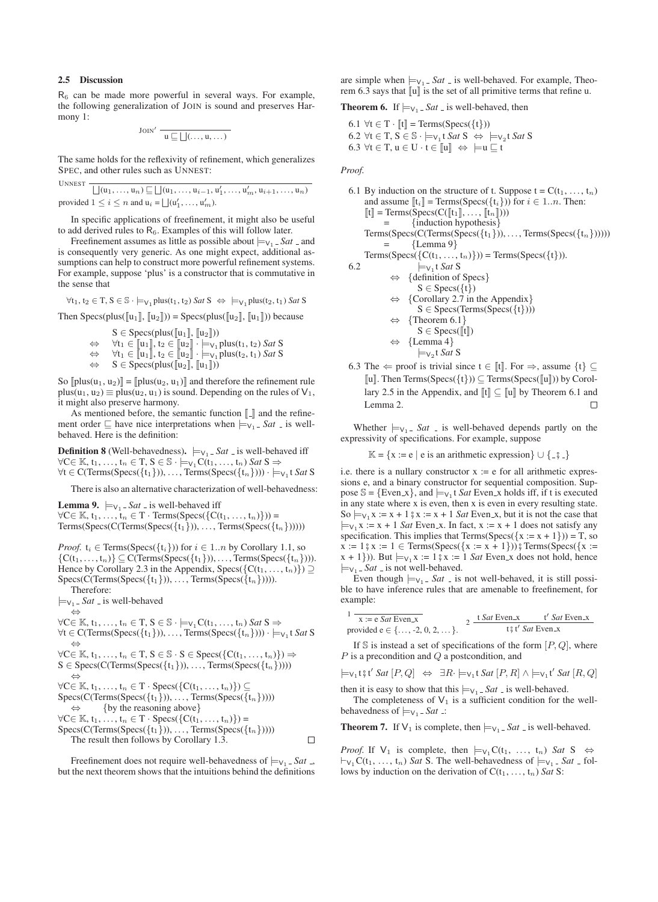#### **2.5 Discussion**

 $R<sub>6</sub>$  can be made more powerful in several ways. For example, the following generalization of JOIN is sound and preserves Harmony 1:

$$
\text{Join}'~\overline{\texttt{u} \sqsubseteq \texttt{\textbf{u}}(\dots,\texttt{u},\dots)}
$$

The same holds for the reflexivity of refinement, which generalizes SPEC, and other rules such as UNNEST:

UNNEST 
$$
\boxed{\underline{\bigcup}(u_1,\ldots,u_n)\subseteq \underline{\bigcup}(u_1,\ldots,u_{i-1},u'_1,\ldots,u'_m,u_{i+1},\ldots,u_n)}
$$
 provided  $1 \leq i \leq n$  and  $u_i = \underline{\bigcup}(u'_1,\ldots,u'_m)$ .

In specific applications of freefinement, it might also be useful to add derived rules to  $R_6$ . Examples of this will follow later.

Freefinement assumes as little as possible about  $\models v_1$  *Sat -* and is consequently very generic. As one might expect, additional assumptions can help to construct more powerful refinement systems. For example, suppose 'plus' is a constructor that is commutative in the sense that

 $\forall t_1, t_2 \in T, S \in \mathbb{S} \cdot \models_{V_1} \text{plus}(t_1, t_2)$  *Sat*  $S \Leftrightarrow \models_{V_1} \text{plus}(t_2, t_1)$  *Sat* S

Then Specs(plus( $\lbrack \lbrack u_1 \rbrack, \lbrack u_2 \rbrack \rbrack)$ ) = Specs(plus( $\lbrack \lbrack u_2 \rbrack, \lbrack u_1 \rbrack \rbrack)$ ) because

$$
S \in \text{Specs}(\text{plus}([u_1], [u_2]))
$$
  
\n
$$
\Leftrightarrow \forall t_1 \in [u_1], t_2 \in [u_2] \cdot [\Leftrightarrow \text{plus}(t_1, t_2) \text{ } Sat \text{ } S
$$
  
\n
$$
\Leftrightarrow \forall t_1 \in [u_1], t_2 \in [u_2] \cdot [\Leftrightarrow \text{plus}(t_2, t_1) \text{ } Sat \text{ } S
$$
  
\n
$$
\Leftrightarrow S \in \text{Specs}(\text{plus}([u_2], [u_1]))
$$

So  $[\text{plus}(u_1, u_2)] = [\text{plus}(u_2, u_1)]$  and therefore the refinement rule  $plus(u_1, u_2) \equiv plus(u_2, u_1)$  is sound. Depending on the rules of  $V_1$ , it might also preserve harmony.

As mentioned before, the semantic function  $\llbracket \_ \rrbracket$  and the refinement order  $\sqsubseteq$  have nice interpretations when  $\models v_1$  *Sat z* is wellbehaved. Here is the definition:

**Definition 8** (Well-behavedness).  $\models v_1$  *Sat i*s well-behaved iff  $\forall C \in \mathbb{K}, t_1, \ldots, t_n \in T, S \in \mathbb{S} \cdot \models_{V_1} C(t_1, \ldots, t_n)$  *Sat*  $S \Rightarrow$  $\forall t \in C(\text{Terms}(Specs({t_1})), \ldots, \text{Terms}(Specs({t_n}))) \cdot \models_{V_1} t \text{ } S \text{ } a \text{ } s$ 

There is also an alternative characterization of well-behavedness:

**Lemma 9.**  $\models v_1$  *Sat i* is well-behaved iff  $\forall C \in \mathbb{K}, t_1, \ldots, t_n \in T \cdot \text{Terms}( \text{Specs}(\{ C(t_1, \ldots, t_n) \}))$  = Terms(Specs(C(Terms(Specs( $\{t_1\}$ )), ..., Terms(Specs( $\{t_n\}$ )))))

*Proof.*  $t_i \in Terms(Specs({t_i}))$  for  $i \in 1..n$  by Corollary 1.1, so  $\{C(t_1,...,t_n)\}\subseteq C(Terms(Specs({t_1})),...,Terms(Specs({t_n}))).$ Hence by Corollary 2.3 in the Appendix, Specs( $\{C(t_1,...,t_n)\}\$ )  $\supseteq$  $\text{Specs}(C(\text{Terms}(Specs({t_1})), \ldots, \text{Terms}(Specs({t_n}))))$ .

Therefore:

 $\models v_1$  - Sat - is well-behaved

⇔

 $\forall C \in \mathbb{K}, t_1, \ldots, t_n \in T, S \in \mathbb{S} \cdot \models_{V_1} C(t_1, \ldots, t_n)$  *Sat*  $S \Rightarrow$ 

 $\forall t \in C(Terms(Specs({t_1})), \ldots, Terms(Specs({t_n}))) \cdot \models_{V_1} t \; \mathit{Sat} \; S$ ⇔<br>∠∽∽

$$
\forall C \in \mathbb{K}, t_1, \ldots, t_n \in T, S \in S \cdot S \in \text{Specs}(\{C(t_1, \ldots, t_n)\}) \Rightarrow S \in \text{Specs}(C(\text{Terms}(Specs(\{t_1\})), \ldots, \text{Terms}(Specs(\{t_n\})))) \Leftrightarrow
$$

 $\forall C \in \mathbb{K}, t_1, \ldots, t_n \in \mathbb{T} \cdot \text{Specs}(\{C(t_1, \ldots, t_n)\}) \subseteq$ 

$$
Specs(C(Terms(Specs({t_1})),...,Terms(Specs({t_n}))))\n\Leftrightarrow {by the reasoning above}\n\qquadmath display="block">\bigcup_{n \in \mathbb{Z}} \mathbb{F}_{\mathcal{A}} \cup \bigcup_{n \in \mathbb{Z}} \mathbb{F}_{\mathcal{A}} \cup \bigcup_{n \in \mathbb{Z}} \mathbb{F}_{\mathcal{A}} \cup \bigcup_{n \in \mathbb{Z}} \mathbb{F}_{\mathcal{A}} \cup \bigcup_{n \in \mathbb{Z}} \mathbb{F}_{\mathcal{A}} \cup \bigcup_{n \in \mathbb{Z}} \mathbb{F}_{\mathcal{A}} \cup \bigcup_{n \in \mathbb{Z}} \mathbb{F}_{\mathcal{A}} \cup \bigcup_{n \in \mathbb{Z}} \mathbb{F}_{\mathcal{A}} \cup \bigcup_{n \in \mathbb{Z}} \mathbb{F}_{\mathcal{A}} \cup \bigcup_{n \in \mathbb{Z}} \mathbb{F}_{\mathcal{A}} \cup \bigcup_{n \in \mathbb{Z}} \mathbb{F}_{\mathcal{A}} \cup \bigcup_{n \in \mathbb{Z}} \mathbb{F}_{\mathcal{A}} \cup \bigcup_{n \in \mathbb{Z}} \mathbb{F}_{\mathcal{A}} \cup \bigcup_{n \in \mathbb{Z}} \mathbb{F}_{\mathcal{A}} \cup \bigcup_{n \in \mathbb{Z}} \mathbb{F}_{\mathcal{A}} \cup \bigcup_{n \in \mathbb{Z}} \mathbb{F}_{\mathcal{A}} \cup \bigcup_{n \in \mathbb{Z}} \mathbb{F}_{\mathcal{A}} \cup \bigcup_{n \in \mathbb{Z}} \mathbb{F}_{\mathcal{A}} \cup \bigcup_{n \in \mathbb{Z}} \mathbb{F}_{\mathcal{A}} \cup \bigcup_{n \in \mathbb{Z}} \mathbb{F}_{\mathcal{A}} \cup \bigcup_{n \in \mathbb{Z}} \mathbb{F}_{\mathcal{A}} \cup \bigcup_{n \in \mathbb{Z}} \mathbb{F}_{\mathcal{A}} \cup \bigcup_{n \in \mathbb{Z}} \mathbb{F}_{\mathcal{A}} \cup \bigcup_{n \in \mathbb{Z}} \mathbb{F}_{\mathcal{A}} \cup \bigcup_{n \in \mathbb{Z}} \mathbb{F}_{\mathcal{A}} \cup \bigcup_{n \in \mathbb{Z}} \mathbb{F}_{\mathcal{A}} \cup \bigcup_{n \in
$$

 $\forall C \in \mathbb{K}, t_1, \ldots, t_n \in \mathrm{T} \cdot \mathrm{Specs}(\{C(t_1, \ldots, t_n)\})$  =  $\text{Specs}(\text{C}(\text{Terms}(\text{Specs}(\{t_1\})), \dots, \text{Terms}(\text{Specs}(\{t_n\}))))$ The result then follows by Corollary 1.3.

Freefinement does not require well-behavedness of  $\models v_1$  *Sat* <sub>-</sub>, but the next theorem shows that the intuitions behind the definitions

 $\Box$ 

are simple when  $\models_{\forall_1}$  *Sat i*s well-behaved. For example, Theorem 6.3 says that [[u]] is the set of all primitive terms that refine u.

**Theorem 6.** If  $\models v_1$  *Sat i* is well-behaved, then

6.1 
$$
\forall t \in T \cdot [\![t]\!] = \text{Terms}(Specs(\{t\}))
$$
  
6.2  $\forall t \in T, S \in \mathbb{S} \cdot \models_{V_1} t \text{ } Sat \text{ } S \Leftrightarrow \models_{V_2} t \text{ } Sat \text{ } S$   
6.3  $\forall t \in T, u \in U \cdot t \in [\![u]\!] \Leftrightarrow \models u \sqsubseteq t$ 

*Proof.* .

```
6.1 By induction on the structure of t. Suppose t = C(t_1, ..., t_n)and assume [[t_i]] = \text{Terms}( \text{Specs}(\{t_i\})) for i \in 1..n. Then:
     [[t]] = Terms(Specs(C([t_1], ..., [t_n])))= {induction hypothesis}
    Terms(Specs(C(Terms(Specs(\{t_1\})), ..., Terms(Specs(\{t_n\}))))))
                   {Lemma 9}Terms(Specs({C(t_1,...,t_n)})) = Terms(Specs({t})).
6.2 =_{V_1} t Sat S
             ⇔ {definition of Specs}
                     S \in \text{Specs}(\{t\})\Leftrightarrow {Corollary 2.7 in the Appendix}
                     S \in \text{Specs}(\text{Terms}(\text{Specs}(\{t\})))⇔ {Theorem 6.1}
                     S \in \text{Specs}(\lbrack\!\lbrack t \rbrack\!\rbrack)⇔ {Lemma 4}
                     \models_{\forall_2}t Sat S
6.3 The \Leftarrow proof is trivial since t \in [\![t]\!]. For \Rightarrow, assume \{t\} \subseteq
```
 $\lceil\!\lceil u \rceil\!\rceil$ . Then Terms(Specs( $\{\tau\}) \subseteq \text{Terms}( \text{Specs}(\lceil\!\lceil u \rceil\!\rceil))$  by Corollary 2.5 in the Appendix, and  $[[t]] \subseteq [[u]]$  by Theorem 6.1 and Lemma 2.  $\Box$ 

Whether  $\models_{\forall_{1}}$  *Sat* – is well-behaved depends partly on the expressivity of specifications. For example, suppose

 $\mathbb{K} = \{x := e \mid e \text{ is an arithmetic expression} \} \cup \{-\frac{1}{2}, \}$ 

i.e. there is a nullary constructor  $x := e$  for all arithmetic expressions e, and a binary constructor for sequential composition. Suppose  $\mathbb{S} = \{ \text{Even}_x \}$ , and  $\models_{V_1} \text{t}$  *Sat* Even x holds iff, if t is executed in any state where x is even, then x is even in every resulting state. So  $\models v_1 x := x + 1 \, \frac{\circ}{2} x := x + 1$  *Sat* Even *x*, but it is not the case that  $\models_{V_1} x := x + 1$  *Sat* Even *x*. In fact,  $x := x + 1$  does not satisfy any specification. This implies that  $Terms(Specs({x := x + 1})) = T$ , so  $x := 1 \frac{1}{2}x := 1 \in \text{Terms}(\text{Specs}(\{x := x + 1\}))\frac{1}{2}\text{Terms}(\text{Specs}(\{x := x + 1\})))$  $(x + 1)$ )). But  $\models v_1 x := 1 \, \frac{6}{7} x := 1$  *Sat* Even *x* does not hold, hence  $\models v_1$  *Sat i*s not well-behaved.

Even though  $\models v_1$  *Sat i* is not well-behaved, it is still possible to have inference rules that are amenable to freefinement, for example:

$$
\frac{1}{x} := e \text{ Sat Even.x}
$$
  
provided  $e \in \{..., 2, 0, 2, ...\}$ . 
$$
\frac{1}{x} \frac{1}{e} \frac{1}{e} \frac{1}{e} \frac{1}{e} \frac{1}{e} \frac{1}{e} \frac{1}{e} \frac{1}{e} \frac{1}{e} \frac{1}{e} \frac{1}{e} \frac{1}{e} \frac{1}{e} \frac{1}{e} \frac{1}{e} \frac{1}{e} \frac{1}{e} \frac{1}{e} \frac{1}{e} \frac{1}{e} \frac{1}{e} \frac{1}{e} \frac{1}{e} \frac{1}{e} \frac{1}{e} \frac{1}{e} \frac{1}{e} \frac{1}{e} \frac{1}{e} \frac{1}{e} \frac{1}{e} \frac{1}{e} \frac{1}{e} \frac{1}{e} \frac{1}{e} \frac{1}{e} \frac{1}{e} \frac{1}{e} \frac{1}{e} \frac{1}{e} \frac{1}{e} \frac{1}{e} \frac{1}{e} \frac{1}{e} \frac{1}{e} \frac{1}{e} \frac{1}{e} \frac{1}{e} \frac{1}{e} \frac{1}{e} \frac{1}{e} \frac{1}{e} \frac{1}{e} \frac{1}{e} \frac{1}{e} \frac{1}{e} \frac{1}{e} \frac{1}{e} \frac{1}{e} \frac{1}{e} \frac{1}{e} \frac{1}{e} \frac{1}{e} \frac{1}{e} \frac{1}{e} \frac{1}{e} \frac{1}{e} \frac{1}{e} \frac{1}{e} \frac{1}{e} \frac{1}{e} \frac{1}{e} \frac{1}{e} \frac{1}{e} \frac{1}{e} \frac{1}{e} \frac{1}{e} \frac{1}{e} \frac{1}{e} \frac{1}{e} \frac{1}{e} \frac{1}{e} \frac{1}{e} \frac{1}{e} \frac{1}{e} \frac{1}{e} \frac{1}{e} \frac{1}{e} \frac{1}{e} \frac{1}{e} \frac{1}{e} \frac{1}{e} \frac{1}{e} \frac{1}{e} \frac{1}{e} \frac{1}{e} \frac{1}{e} \frac{1}{e} \frac{1}{e} \frac{1}{e} \frac{1}{e
$$

If S is instead a set of specifications of the form  $[P,Q]$ , where  $P$  is a precondition and  $Q$  a postcondition, and

$$
\models_{V_1} t \S t' Sat [P,Q] \Leftrightarrow \exists R \vdash_{V_1} t Sat [P,R] \wedge \models_{V_1} t' Sat [R,Q]
$$

then it is easy to show that this  $\models v_1$  *Sat z* is well-behaved. The completeness of  $V_1$  is a sufficient condition for the wellbehavedness of  $\models v_1$  *Sat :* 

**Theorem 7.** If  $V_1$  is complete, then  $\models_{V_1} Sat \text{ is well-behaved.}$ 

*Proof.* If  $V_1$  is complete, then  $\models_{V_1} C(t_1, ..., t_n)$  *Sat* S  $\Leftrightarrow$  $\vdash_{\mathsf{V}_1} C(t_1, \ldots, t_n)$  *Sat* S. The well-behavedness of  $\models_{\mathsf{V}_1} Sat \bot$  follows by induction on the derivation of  $C(t_1,...,t_n)$  *Sat* S: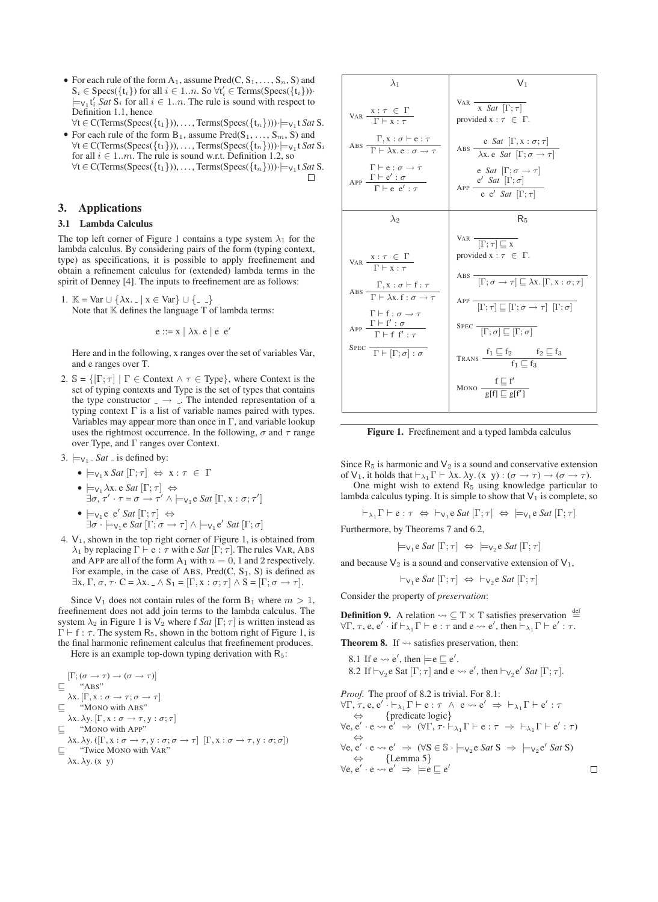- For each rule of the form  $A_1$ , assume Pred(C,  $S_1, \ldots, S_n$ , S) and  $S_i \in \text{Specs}(\{t_i\})$  for all  $i \in 1..n$ . So  $\forall t'_i \in \text{Terms}(\text{Specs}(\{t_i\}))$ .  $\models v_1$  t'<sub>i</sub> Sat S<sub>i</sub> for all  $i \in 1..n$ . The rule is sound with respect to Definition 1.1, hence
- $\forall t \in C(Terms(Specs({t_1})), \ldots, Terms(Specs({t_n}))) \vdash_{V_1} t \, \text{Sat } S.$ • For each rule of the form  $B_1$ , assume  $Pred(S_1, ..., S_m, S)$  and
- $\forall t \in C(Terms(Specs({t_1})), \ldots, Terms(Specs({t_n}))) \cdot \models_{V_1} t \, Sat \, S_i$ for all  $i \in 1..m$ . The rule is sound w.r.t. Definition 1.2, so  $\forall t \in C(\text{Terms}(Specs({t_1}))), \dots, \text{Terms}(Specs({t_n})))\cdot \models_{V_1} t \text{ } Sat \text{ } S.$

# **3. Applications**

## **3.1 Lambda Calculus**

The top left corner of Figure 1 contains a type system  $\lambda_1$  for the lambda calculus. By considering pairs of the form (typing context, type) as specifications, it is possible to apply freefinement and obtain a refinement calculus for (extended) lambda terms in the spirit of Denney [4]. The inputs to freefinement are as follows:

1.  $\mathbb{K} = \text{Var} \cup \{ \lambda x. \mid x \in \text{Var} \} \cup \{ \ldots \}$ Note that  $K$  defines the language  $T$  of lambda terms:

 $e ::= x \mid \lambda x. e \mid e \cdot e'$ 

Here and in the following, x ranges over the set of variables Var, and e ranges over T.

- 2.  $\mathbb{S} = \{[\Gamma; \tau] \mid \Gamma \in \text{Context} \land \tau \in \text{Type}\},\$  where Context is the set of typing contexts and Type is the set of types that contains the type constructor  $\overline{\phantom{a}} \rightarrow \overline{\phantom{a}}$ . The intended representation of a typing context  $\Gamma$  is a list of variable names paired with types. Variables may appear more than once in  $\Gamma$ , and variable lookup uses the rightmost occurrence. In the following,  $\sigma$  and  $\tau$  range over Type, and Γ ranges over Context.
- 3.  $\models_{\forall_1}$  *Sat \_* is defined by:
	- $\bullet \models_{V_1} x \; Sat\; [\Gamma; \tau] \Leftrightarrow x : \tau \in \Gamma$
	- $\bullet \models_{\mathsf{V}_1} \lambda \mathsf{x}$ . e *Sat*  $[\Gamma; \tau] \Leftrightarrow$  $\exists \sigma, \tau' \cdot \tau = \sigma \rightarrow \tau' \land \models_{\mathsf{V}_1} \mathsf{e} \ \mathsf{Sat} \ [\Gamma, \mathsf{x} : \sigma; \tau']$

• 
$$
\models_{V_1} e
$$
 e' Sat  $\left[\Gamma; \tau\right] \Leftrightarrow$   
 $\exists \sigma \cdot \models_{V_1} e$  Sat  $\left[\Gamma; \sigma \rightarrow \tau\right] \wedge \models_{V_1} e'$  Sat  $\left[\Gamma; \sigma\right]$ 

4.  $V_1$ , shown in the top right corner of Figure 1, is obtained from  $\lambda_1$  by replacing  $\Gamma \vdash e : \tau$  with e *Sat*  $[\Gamma; \tau]$ . The rules VAR, ABS and APP are all of the form  $A_1$  with  $n = 0$ , 1 and 2 respectively. For example, in the case of ABS, Pred(C,  $S_1$ , S) is defined as  $\exists x, \Gamma, \sigma, \tau \cdot C = \lambda x.$   $\therefore$   $S_1 = [\Gamma, x : \sigma; \tau] \wedge S = [\Gamma; \sigma \rightarrow \tau].$ 

Since  $V_1$  does not contain rules of the form  $B_1$  where  $m > 1$ , freefinement does not add join terms to the lambda calculus. The system  $\lambda_2$  in Figure 1 is  $\vee_2$  where f *Sat*  $[\Gamma; \tau]$  is written instead as  $\Gamma \vdash f : \tau$ . The system R<sub>5</sub>, shown in the bottom right of Figure 1, is the final harmonic refinement calculus that freefinement produces.

Here is an example top-down typing derivation with  $R_5$ :

 $[\Gamma; (\sigma \to \tau) \to (\sigma \to \tau)]$ - "ABS" λx. [Γ, x :  $\sigma \rightarrow \tau$ ;  $\sigma \rightarrow \tau$ ]  $\sqsubseteq$  "MONO with ABS" λx. λy. [Γ, x :  $\sigma \rightarrow \tau,$ y :  $\sigma; \tau]$  $\Box$  "MONO with APP" λx. λy. ([Γ, x :  $\sigma \to \tau$ , y :  $\sigma$ ;  $\sigma \to \tau$ ] [Γ, x :  $\sigma \to \tau$ , y :  $\sigma$ ; $\sigma$ ])  $\sqsubseteq$  "Twice MONO with VAR"  $λ$ x.  $λ$ y. (x y)



**Figure 1.** Freefinement and a typed lambda calculus

Since  $R_5$  is harmonic and  $V_2$  is a sound and conservative extension of  $V_1$ , it holds that  $\vdash_{\lambda_1} \Gamma \vdash \lambda x. \lambda y. (x \ y) : (\sigma \to \tau) \to (\sigma \to \tau).$ 

One might wish to extend R<sub>5</sub> using knowledge particular to lambda calculus typing. It is simple to show that  $V_1$  is complete, so

 $\vdash_{\lambda_1} \Gamma \vdash e : \tau \Leftrightarrow \vdash_{\mathsf{V}_1} e \mathit{Sat}[\Gamma;\tau] \Leftrightarrow \models_{\mathsf{V}_1} e \mathit{Sat}[\Gamma;\tau]$ 

Furthermore, by Theorems 7 and 6.2,

 $\models_{\mathsf{V}_1} \mathsf{e} \ \mathsf{Sat} \ [\Gamma; \tau] \ \Leftrightarrow \ \models_{\mathsf{V}_2} \mathsf{e} \ \mathsf{Sat} \ [\Gamma; \tau]$ 

and because  $V_2$  is a sound and conservative extension of  $V_1$ ,

$$
\vdash_{\mathsf{V}_1} e \mathit{Sat}[\Gamma;\tau] \ \Leftrightarrow \ \vdash_{\mathsf{V}_2} e \mathit{Sat}[\Gamma;\tau]
$$

Consider the property of *preservation*:

**Definition 9.** A relation  $\rightsquigarrow \subseteq T \times T$  satisfies preservation  $\stackrel{\text{def}}{=}$  $\forall \Gamma, \tau, e, e' \cdot if \vdash_{\lambda_1} \Gamma \vdash e : \tau \text{ and } e \leadsto e', \text{ then } \vdash_{\lambda_1} \Gamma \vdash e' : \tau.$ 

**Theorem 8.** If  $\rightsquigarrow$  satisfies preservation, then:

8.1 If  $e \rightsquigarrow e'$ , then  $\models e \sqsubseteq e'$ . 8.2 If  $\vdash_{\mathsf{V}_2}$ e Sat  $[\Gamma; \tau]$  and e  $\leadsto$  e', then  $\vdash_{\mathsf{V}_2}$ e' *Sat*  $[\Gamma; \tau]$ .

*Proof.* The proof of 8.2 is trivial. For 8.1:

 $\forall \Gamma, \tau, e, e' \cdot \vdash_{\lambda_1} \Gamma \vdash e : \tau \ \wedge \ e \leadsto e' \ \Rightarrow \ \vdash_{\lambda_1} \Gamma \vdash e' : \tau$ ⇔ {predicate logic}  $\forall e, e' \cdot e \leadsto e' \Rightarrow (\forall \Gamma, \tau \cdot \vdash_{\lambda_1} \Gamma \vdash e : \tau \Rightarrow \vdash_{\lambda_1} \Gamma \vdash e' : \tau)$ ⇔  $\forall e, e' \cdot e \rightsquigarrow e' \Rightarrow (\forall S \in \mathbb{S} \cdot \models_{V_2} e \text{ Sat } S \Rightarrow \models_{V_2} e' \text{ Sat } S)$ ⇔ {Lemma 5}  $\forall$ e, e' $\cdot$  e  $\leadsto$  e' $\Rightarrow$   $\models$ e $\sqsubseteq$  e'

 $\Box$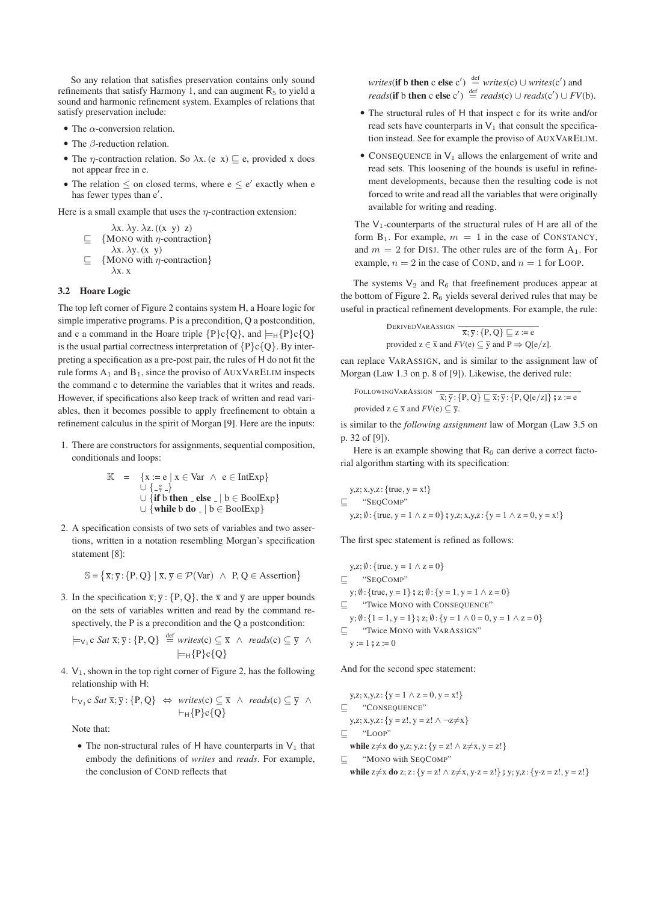So any relation that satisfies preservation contains only sound refinements that satisfy Harmony 1, and can augment  $R<sub>5</sub>$  to yield a sound and harmonic refinement system. Examples of relations that satisfy preservation include:

- The  $\alpha$ -conversion relation.
- The *β*-reduction relation.
- The *η*-contraction relation. So  $\lambda$ x. (e x)  $\subseteq$  e, provided x does not appear free in e.
- The relation  $\leq$  on closed terms, where  $e \leq e'$  exactly when e has fewer types than e'.

Here is a small example that uses the  $\eta$ -contraction extension:

$$
\subseteq \{M\text{ONO with }\eta\text{-contraction}\}\newline \subseteq \{M\text{ONO with }\eta\text{-contraction}\}\newline \quad \lambda x.\lambda y.\ (x\ y)\newline \subseteq \{M\text{ONO with }\eta\text{-contraction}\}\newline \lambda x.\ x
$$

## **3.2 Hoare Logic**

The top left corner of Figure 2 contains system H, a Hoare logic for simple imperative programs. P is a precondition, Q a postcondition, and c a command in the Hoare triple  ${P}c{Q}$ , and  $\models H{P}c{Q}$ is the usual partial correctness interpretation of  $\{P\}c\{Q\}$ . By interpreting a specification as a pre-post pair, the rules of H do not fit the rule forms  $A_1$  and  $B_1$ , since the proviso of AUXVARELIM inspects the command c to determine the variables that it writes and reads. However, if specifications also keep track of written and read variables, then it becomes possible to apply freefinement to obtain a refinement calculus in the spirit of Morgan [9]. Here are the inputs:

1. There are constructors for assignments, sequential composition, conditionals and loops:

$$
\mathbb{K} = \{x := e \mid x \in \text{Var } \land e \in \text{IntExp}\}\
$$
  
\n
$$
\cup \{-\frac{e}{2}\}
$$
  
\n
$$
\cup \{\text{if } b \text{ then } -\text{else } - \mid b \in \text{BoolExp}\}\
$$
  
\n
$$
\cup \{\text{while } b \text{ do } - \mid b \in \text{BoolExp}\}\
$$

2. A specification consists of two sets of variables and two assertions, written in a notation resembling Morgan's specification statement [8]:

$$
\mathbb{S} = \left\{ \overline{x}; \overline{y} : \{P, Q\} \mid \overline{x}, \overline{y} \in \mathcal{P}(\text{Var}) \ \wedge \ P, Q \in \text{Association} \right\}
$$

3. In the specification  $\overline{x}$ ;  $\overline{y}$  : {P, Q}, the  $\overline{x}$  and  $\overline{y}$  are upper bounds on the sets of variables written and read by the command respectively, the P is a precondition and the Q a postcondition:

$$
\models_{\mathsf{V}_1} c \; Sat \; \overline{x}; \overline{y} : \{P, Q\} \; \stackrel{\text{def}}{=} \; writes(c) \subseteq \overline{x} \; \wedge \; reads(c) \subseteq \overline{y} \; \wedge \\ \models_{\mathsf{H}} \{P\} c \{Q\}
$$

4.  $V_1$ , shown in the top right corner of Figure 2, has the following relationship with H:

$$
\vdash_{\mathsf{V}_1} c \; Sat \; \overline{x}; \overline{y}: \{P, Q\} \; \Leftrightarrow \; writes(c) \subseteq \overline{x} \; \wedge \; reads(c) \subseteq \overline{y} \; \wedge \\ \vdash_{\mathsf{H}} \{P\} c \{Q\}
$$

Note that:

• The non-structural rules of H have counterparts in  $V_1$  that embody the definitions of *writes* and *reads*. For example, the conclusion of COND reflects that

*writes*(**if** b **then** c **else** c')  $\stackrel{\text{def}}{=}$  *writes*(**c**) ∪ *writes*(**c'**) and *reads*(**if** b **then** c **else** c')  $\stackrel{\text{def}}{=} \text{reads}(c) \cup \text{reads}(c') \cup \text{FV}(b)$ .

- The structural rules of H that inspect c for its write and/or read sets have counterparts in  $V_1$  that consult the specification instead. See for example the proviso of AUXVARELIM.
- CONSEQUENCE in  $V_1$  allows the enlargement of write and read sets. This loosening of the bounds is useful in refinement developments, because then the resulting code is not forced to write and read all the variables that were originally available for writing and reading.

The  $V_1$ -counterparts of the structural rules of H are all of the form  $B_1$ . For example,  $m = 1$  in the case of CONSTANCY, and  $m = 2$  for DISJ. The other rules are of the form  $A_1$ . For example,  $n = 2$  in the case of COND, and  $n = 1$  for LOOP.

The systems  $V_2$  and R<sub>6</sub> that freefinement produces appear at the bottom of Figure 2.  $R_6$  yields several derived rules that may be useful in practical refinement developments. For example, the rule:

DERIVEDVARASSIGN 
$$
\overline{\overline{x}}; \overline{y}: \{P, Q\} \sqsubseteq z := e
$$
  
provided  $z \in \overline{x}$  and  $FV(e) \subseteq \overline{y}$  and  $P \Rightarrow Q[e/z]$ .

can replace VARASSIGN, and is similar to the assignment law of Morgan (Law 1.3 on p. 8 of [9]). Likewise, the derived rule:

FOLUTIONING VARASSIGN 
$$
\overline{\overline{x}}; \overline{y}: \{P, Q\} \sqsubseteq \overline{x}; \overline{y}: \{P, Q[e/z]\} \hat{z} = e
$$
  
provided  $z \in \overline{x}$  and  $FV(e) \subseteq \overline{y}$ .

is similar to the *following assignment* law of Morgan (Law 3.5 on p. 32 of [9]).

Here is an example showing that  $R_6$  can derive a correct factorial algorithm starting with its specification:

y,z; x,y,z: {true, y = x!}  
\n
$$
\subseteq
$$
 "SeqComp"  
\ny,z;  $\emptyset$ : {true, y = 1  $\land$  z = 0}  $\S$  y,z; x,y,z: {y = 1  $\land$  z = 0, y = x!}

The first spec statement is refined as follows:

y,z;  $\emptyset$ : {true, y = 1  $\wedge$  z = 0}  $\Box$  "SEQCOMP"  $y; \emptyset$ : {true,  $y = 1$ }  $\frac{3}{7}z; \emptyset$ : { $y = 1, y = 1 \land z = 0$ }  $\Box$  "Twice MONO with CONSEQUENCE"  $y; \emptyset$ : {1 = 1, y = 1}  $\frac{6}{9}z; \emptyset$ : {y = 1 \times 0 = 0, y = 1 \times z = 0}  $\Box$  "Twice MONO with VARASSIGN"  $y := 1$   $\frac{6}{9}$   $z := 0$ 

And for the second spec statement:

y,z; x,y,z: {y = 1 
$$
\land
$$
 z = 0, y = x!}  
\n
$$
\subseteq
$$
 "Consequence"  
\ny,z; x,y,z: {y = z!, y = z!  $\land \neg z \neq x$ }  
\n
$$
\subseteq
$$
 "Loop"

while  $z \neq x$  do y,z; y,z:  $\{y = z! \land z \neq x, y = z!\}$ 

 $\sqsubseteq$ "MONO with SEQCOMP"

**while**  $z \neq x$  **do** z; z : {y = z! ∧  $z \neq x$ , y·z = z!}  $\frac{6}{7}$  y; y,z : {y·z = z!, y = z!}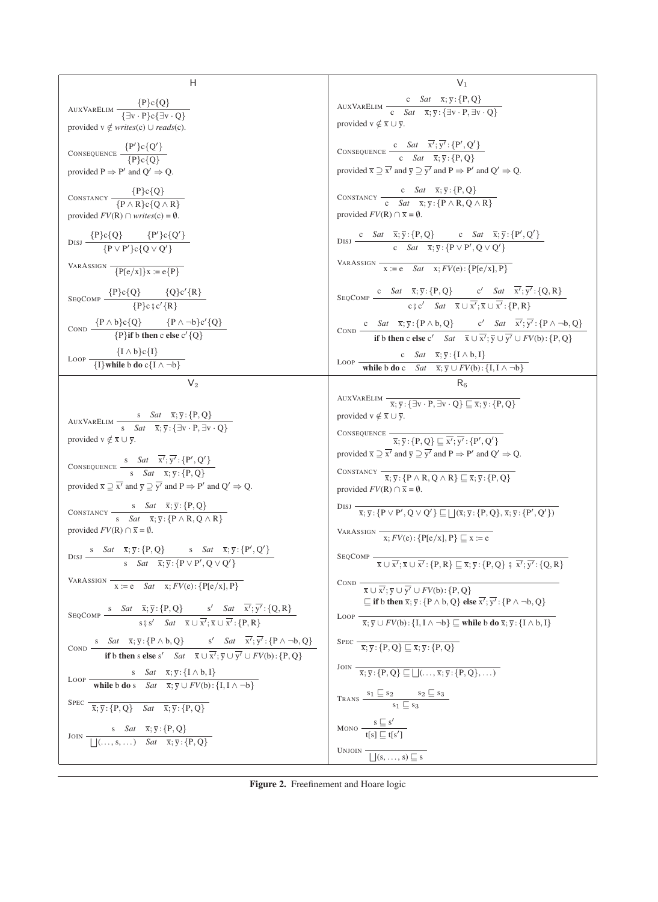| H                                                                                                                                                                                                                                                                                                                                                                                                                                                        | $V_1$                                                                                                                                                                                                                                      |
|----------------------------------------------------------------------------------------------------------------------------------------------------------------------------------------------------------------------------------------------------------------------------------------------------------------------------------------------------------------------------------------------------------------------------------------------------------|--------------------------------------------------------------------------------------------------------------------------------------------------------------------------------------------------------------------------------------------|
|                                                                                                                                                                                                                                                                                                                                                                                                                                                          | AUXVARELIM $\frac{c}{c} \frac{Sat}{3at} \frac{\overline{x}; \overline{y}: \{P, Q\}}{Sat \overline{x}; \overline{y}: \{\exists v \cdot P, \exists v \cdot Q\}}$                                                                             |
| AUXVARELIM $\frac{\{P\}c\{Q\}}{\{\exists v \cdot P\}c\{\exists v \cdot Q\}}$                                                                                                                                                                                                                                                                                                                                                                             | provided $v \notin \overline{x} \cup \overline{y}$ .                                                                                                                                                                                       |
| provided $v \notin writes(c) \cup reads(c)$ .                                                                                                                                                                                                                                                                                                                                                                                                            |                                                                                                                                                                                                                                            |
| CONSEQUENCE $\frac{\{P'\}c\{Q'\}}{\{P\}c\{Q\}}$                                                                                                                                                                                                                                                                                                                                                                                                          | CONSEQUENCE $\frac{c}{c}\frac{Sat}{dt} \frac{\overline{x}'}{\overline{x}}$ ; $\overline{y'}$ : $\{P', Q'\}$                                                                                                                                |
| provided $P \Rightarrow P'$ and $Q' \Rightarrow Q$ .                                                                                                                                                                                                                                                                                                                                                                                                     | provided $\overline{x} \supseteq \overline{x'}$ and $\overline{y} \supseteq \overline{y'}$ and $P \Rightarrow P'$ and $Q' \Rightarrow Q$ .                                                                                                 |
| CONSTANCY $\frac{\{P\}c\{Q\}}{\{P \wedge R\}c\{Q \wedge R\}}$                                                                                                                                                                                                                                                                                                                                                                                            | CONSTANCY $\frac{c \quad Sat \quad \overline{x}; \overline{y}: \{P, Q\}}{c \quad Sat \quad \overline{x}; \overline{y}: \{P \land R, Q \land R\}}$                                                                                          |
|                                                                                                                                                                                                                                                                                                                                                                                                                                                          | provided $FV(R) \cap \overline{x} = \emptyset$ .                                                                                                                                                                                           |
| provided $FV(R) \cap writes(c) = \emptyset$ .                                                                                                                                                                                                                                                                                                                                                                                                            |                                                                                                                                                                                                                                            |
| DISJ $\frac{\{P\}c\{Q\}}{\{P \vee P'\}c\{Q \vee Q'\}}$                                                                                                                                                                                                                                                                                                                                                                                                   | DISJ $\frac{c \quad Sat \quad \overline{x}; \overline{y}: \{P, Q\} \quad c \quad Sat \quad \overline{x}; \overline{y}: \{P', Q'\}}{c \quad Sat \quad \overline{x}; \overline{y}: \{P \vee P', Q \vee Q'\}}$                                |
| VARASSIGN $\overline{\{P[e/x]\}x := e\{P\}}$                                                                                                                                                                                                                                                                                                                                                                                                             | VARASSIGN $\overline{x} := e \quad Sat \quad x; FV(e): \{P[e/x], P\}$                                                                                                                                                                      |
| SEQCOMP $\frac{\{P\}c\{Q\} \quad \{Q\}c'\{R\}}{\{P\}c\;c'\{R\}}$                                                                                                                                                                                                                                                                                                                                                                                         | SEQCOMP $\frac{c \quad Sat \quad \overline{x}; \overline{y}: \{P, Q\}}{c \cdot \overline{s}c' \quad Sat \quad \overline{x} \cup \overline{x'}; \overline{x} \cup \overline{x'}; \{P, R\}}$                                                 |
|                                                                                                                                                                                                                                                                                                                                                                                                                                                          |                                                                                                                                                                                                                                            |
| COND $\frac{\{P \wedge b\}c\{Q\}}{\{P\}$ if b then c else c'{Q}                                                                                                                                                                                                                                                                                                                                                                                          | COND $\frac{c \quad Sat \quad \overline{x}; \overline{y}: \{P \wedge b, Q\}}{\text{if } b \text{ then } c \text{ else } c'} \quad \text{Sat} \quad \overline{x} \cup \overline{x'}; \overline{y} \cup \overline{y'} \cup FV(b): \{P, Q\}}$ |
| Loop $\frac{\{I \wedge b\}c\{I\}}{\{I\}while b \textbf{ do } c\{I \wedge \neg b\}}$                                                                                                                                                                                                                                                                                                                                                                      | LOOP $\frac{c \quad Sat \quad \overline{x}; \overline{y}:\{I \wedge b, I\}}{\text{while } b \text{ do } c \quad Sat \quad \overline{x}; \overline{y} \cup FV(b):\{I, I \wedge \neg b\}}$                                                   |
|                                                                                                                                                                                                                                                                                                                                                                                                                                                          |                                                                                                                                                                                                                                            |
| V <sub>2</sub>                                                                                                                                                                                                                                                                                                                                                                                                                                           | $R_6$                                                                                                                                                                                                                                      |
|                                                                                                                                                                                                                                                                                                                                                                                                                                                          | AUXVARELIM $\overline{\overline{x}}; \overline{y}$ : { $\exists v \cdot P$ , $\exists v \cdot Q$ } $\overline{\underline{x}}; \overline{y}$ : { $P, Q$ }<br>provided $v \notin \overline{x} \cup \overline{y}$ .                           |
| AUXVARELIM $\frac{s}{s} \frac{Sat}{\bar{x}; \bar{y}: \{P, Q\}}$<br>$\frac{s}{s} \frac{Sat}{\bar{x}; \bar{y}: \{\exists v \cdot P, \exists v \cdot Q\}}$                                                                                                                                                                                                                                                                                                  |                                                                                                                                                                                                                                            |
| provided $v \notin \overline{x} \cup \overline{y}$ .                                                                                                                                                                                                                                                                                                                                                                                                     | CONSEQUENCE $\overline{\overline{x}; \overline{y}: \{P, Q\} \sqsubseteq \overline{x'}; \overline{y'}: \{P', Q'\}}$                                                                                                                         |
| CONSEQUENCE $\frac{s}{s}\frac{Sat}{s} \frac{\overline{x'}}{\overline{x}+\overline{y'}}$ : $\{P', Q'\}$                                                                                                                                                                                                                                                                                                                                                   | provided $\overline{x} \supseteq \overline{x'}$ and $\overline{y} \supseteq \overline{y'}$ and $P \Rightarrow P'$ and $Q' \Rightarrow Q$ .                                                                                                 |
| provided $\overline{x} \supseteq \overline{x'}$ and $\overline{y} \supseteq \overline{y'}$ and $P \Rightarrow P'$ and $Q' \Rightarrow Q$ .                                                                                                                                                                                                                                                                                                               | CONSTANCY $\overline{\overline{x}}; \overline{y}$ : { $P \wedge R, Q \wedge R$ } $\subseteq \overline{x}; \overline{y}$ : { $P, Q$ }                                                                                                       |
|                                                                                                                                                                                                                                                                                                                                                                                                                                                          | provided $FV(R) \cap \overline{x} = \emptyset$ .                                                                                                                                                                                           |
| CONSTANCY $\frac{s}{s} \frac{Sat - \overline{x}; \overline{y}: \{P, Q\}}{Sat - \overline{x}; \overline{y}: \{P \wedge R, Q \wedge R\}}$                                                                                                                                                                                                                                                                                                                  | DISJ $\overline{\overline{x}}$ ; $\overline{y}$ : {P $\vee$ P', Q $\vee$ Q'} $\sqsubseteq \sqcup(\overline{x}; \overline{y}$ : {P, Q}, $\overline{x}$ ; $\overline{y}$ : {P', Q'})                                                         |
| provided $FV(R) \cap \overline{x} = \emptyset$ .                                                                                                                                                                                                                                                                                                                                                                                                         | VARASSIGN $\overline{x; FV(e): \{P[e/x], P\}} \sqsubseteq x := e$                                                                                                                                                                          |
| DISJ $\frac{s}{\sqrt{t^2 + 2}} \frac{Sat}{\sqrt{t^2 + 2}} \frac{\overline{x}}{\sqrt{t^2 + 2}} \frac{s}{\sqrt{t^2 + 2}} \frac{Sat}{\sqrt{t^2 + 2}} \frac{\overline{x}}{\sqrt{t^2 + 2}} \frac{\overline{x}}{\sqrt{t^2 + 2}} \frac{\overline{x}}{\sqrt{t^2 + 2}} \frac{\overline{x}}{\sqrt{t^2 + 2}} \frac{\overline{x}}{\sqrt{t^2 + 2}} \frac{\overline{x}}{\sqrt{t^2 + 2}} \frac{\overline{x}}{\sqrt{t^2 + 2}} \frac{\overline{x}}{\sqrt{t^2 + 2}} \frac$ | SEQCOMP-                                                                                                                                                                                                                                   |
| s Sat $\overline{x}$ ; $\overline{y}$ : {P $\vee$ P', Q $\vee$ Q'}                                                                                                                                                                                                                                                                                                                                                                                       | $\overline{x} \cup \overline{x'}$ ; $\overline{x} \cup \overline{x'}$ : {P, R} $\sqsubseteq \overline{x}$ ; $\overline{y}$ : {P, Q} $\overline{y}$ $\overline{x'}$ ; $\overline{y'}$ : {Q, R}                                              |
| VARASSIGN $\overline{x} := e \quad Sat \quad x; FV(e): \{P[e/x], P\}$                                                                                                                                                                                                                                                                                                                                                                                    | COND $\overline{\overline{x} \cup \overline{x'}; \overline{y} \cup \overline{y'} \cup FV(b)}$ : {P, Q}                                                                                                                                     |
|                                                                                                                                                                                                                                                                                                                                                                                                                                                          | $\sqsubseteq$ if b then $\overline{x}$ ; $\overline{y}$ : {P $\wedge$ b, Q} else $\overline{x'}$ ; $\overline{y'}$ : {P $\wedge \neg b$ , Q}                                                                                               |
| SEQCOMP $\frac{s \quad Sat \quad \overline{x}; \overline{y}: \{P, Q\}}{s \; \zeta \; s' \quad Sat \quad \overline{x} \cup \overline{x'}; \overline{x} \cup \overline{x'} : \{P, R\}}$                                                                                                                                                                                                                                                                    | LOOP $\overline{\overline{x}}; \overline{y} \cup FV(b): \{I, I \wedge \neg b\} \sqsubseteq$ while b do $\overline{x}; \overline{y}: \{I \wedge b, I\}$                                                                                     |
| S $Sat$ $\overline{x}$ ; $\overline{y}$ : {P $\wedge$ b, Q} $s'$ $Sat$ $\overline{x'}$ ; $\overline{y'}$ : {P $\wedge$ -b, Q}<br>if b then s else $s'$ $Sat$ $\overline{x} \cup \overline{x'}$ ; $\overline{y} \cup \overline{y'} \cup FV(b)$ : {P, Q}<br>$Conv -$                                                                                                                                                                                       | $\text{Spec } \overline{\overline{x}; \overline{y} \colon \{P, Q\} \sqsubseteq \overline{x}; \overline{y} \colon \{P, Q\}}$                                                                                                                |
| LOOP while b do s $Sat$ $\overline{x}$ ; $\overline{y}$ : { $I \wedge b, I$ }<br>while b do s $Sat$ $\overline{x}$ ; $\overline{y} \cup FV(b)$ : { $I, I \wedge \neg b$ }                                                                                                                                                                                                                                                                                | JOIN $\overline{\overline{x}}$ ; $\overline{\overline{y}}$ : $\{P,Q\} \sqsubseteq  $ $ (\ldots,\overline{x}; \overline{y}:\{P,Q\},\ldots)$                                                                                                 |
|                                                                                                                                                                                                                                                                                                                                                                                                                                                          |                                                                                                                                                                                                                                            |
| SPEC $\overline{\overline{x}}$ ; $\overline{y}$ : {P, Q} Sat $\overline{x}$ ; $\overline{y}$ : {P, Q}                                                                                                                                                                                                                                                                                                                                                    | TRANS $\frac{s_1 \sqsubseteq s_2}{s_1 \sqsubseteq s_3}$                                                                                                                                                                                    |
|                                                                                                                                                                                                                                                                                                                                                                                                                                                          | MONO $\frac{s \sqsubseteq s'}{t[s] \sqsubseteq t[s']}$                                                                                                                                                                                     |
| $\text{Join } \frac{s \quad Sat \quad \overline{x}; \overline{y}: \{P, Q\}}{\mid  (\ldots, s, \ldots) \quad Sat \quad \overline{x}; \overline{y}: \{P, Q\}}$                                                                                                                                                                                                                                                                                             |                                                                                                                                                                                                                                            |
|                                                                                                                                                                                                                                                                                                                                                                                                                                                          | UNIOIN $\boxed{\frac{\mid (s, \ldots, s) \sqsubseteq s}$                                                                                                                                                                                   |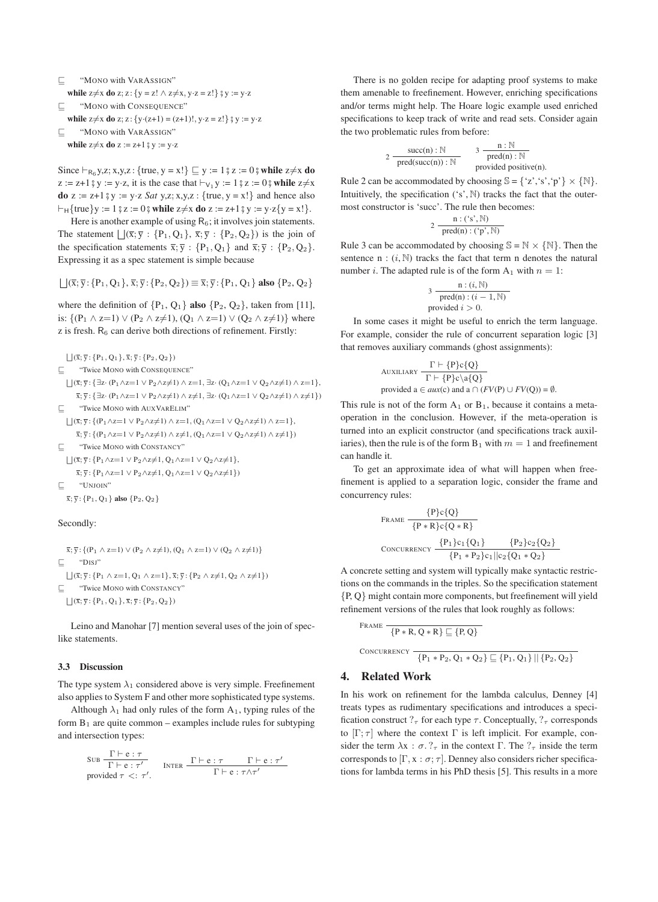```
\Box "MONO with VARASSIGN"
    while z \neq x do z; z: \{y = z! \land z \neq x, y \cdot z = z! \} \circ y := y \cdot z\Box"MONO with CONSEQUENCE"
    while z \neq x do z; z : {y \cdot (z+1) = (z+1)!, y \cdot z = z!} \frac{6}{7} y := y \cdot z\Box "MONO with VARASSIGN"
    while z \neq x do z := z+1 \frac{6}{9}y := y \cdot z
```
Since  $\vdash_{R_6}$ y,z; x,y,z : {true, y = x!}  $\sqsubseteq$  y := 1  $\frac{6}{9}$  z := 0  $\frac{6}{9}$  while z $\neq$ x **do**  $z := z+1$   $\frac{\circ}{2}$   $y := y \cdot z$ , it is the case that  $\vdash_{V_1} y := 1$   $\frac{\circ}{2} z := 0$   $\frac{\circ}{2}$  while  $z \neq x$ **do**  $z := z+1 \frac{1}{2}y := y \cdot z$  *Sat* y,z; x,y,z : {true, y = x!} and hence also  $\vdash_{\mathsf{H}} \{\text{true}\} \text{y} := 1 \, \text{?} \, \text{z} := 0 \, \text{?} \, \text{while } z \neq \text{x} \, \text{do } z := z + 1 \, \text{?} \, \text{y} := \text{y} \cdot z \{ \text{y} = \text{x}! \}.$ 

Here is another example of using  $R_6$ ; it involves join statements. The statement  $|\left| (\overline{x}; \overline{y} : \{P_1, Q_1\}, \overline{x}; \overline{y} : \{P_2, Q_2\}) \right|$  is the join of the specification statements  $\overline{x}; \overline{y}$  :  $\{P_1, Q_1\}$  and  $\overline{x}; \overline{y}$  :  $\{P_2, Q_2\}$ . Expressing it as a spec statement is simple because

 $|$  $|(\overline{x}; \overline{y}; {\{P_1, Q_1\}}, \overline{x}; \overline{y}; {\{P_2, Q_2\}}) \equiv \overline{x}; \overline{y}; {\{P_1, Q_1\}}$  also  ${\{P_2, Q_2\}}$ 

where the definition of  $\{P_1, Q_1\}$  **also**  $\{P_2, Q_2\}$ , taken from [11], is:  $\{(P_1 \wedge z=1) \vee (P_2 \wedge z\neq 1), (Q_1 \wedge z=1) \vee (Q_2 \wedge z\neq 1)\}\$  where  $z$  is fresh.  $R_6$  can derive both directions of refinement. Firstly:

 $\Box(\overline{x}; \overline{y} : \{P_1, Q_1\}, \overline{x}; \overline{y} : \{P_2, Q_2\})$ 

- $\Box$  "Twice MONO with CONSEQUENCE"
- $\vert \vert (\overline{x}; \overline{y} : \{\exists z \cdot (P_1 \wedge z=1 \vee P_2 \wedge z\neq 1) \wedge z=1, \exists z \cdot (Q_1 \wedge z=1 \vee Q_2 \wedge z\neq 1) \wedge z=1 \},\$ x; y :{∃z· (P1∧z=1 ∨ P2∧z=1) ∧ z=1*,* ∃z· (Q1∧z=1 ∨ Q2∧z=1) ∧ z=1}) "Twice MONO with AUXVARELIM"
- 
- $\bigcup (\overline{x}; \overline{y} : \{(P_1 \wedge z=1 \vee P_2 \wedge z\neq 1) \wedge z=1, (Q_1 \wedge z=1 \vee Q_2 \wedge z\neq 1) \wedge z=1\},$
- $\overline{x}; \overline{y}$ : {(P<sub>1</sub>∧z=1 ∨ P<sub>2</sub>∧z≠1) ∧ z≠1, (Q<sub>1</sub>∧z=1 ∨ Q<sub>2</sub>∧z≠1) ∧ z≠1})
- "Twice MONO with CONSTANCY"

```
(x; y :{P1∧z=1 ∨ P2∧z=1, Q1∧z=1 ∨ Q2∧z=1},
    \overline{x}; \overline{y}: {P<sub>1</sub>∧z=1 ∨ P<sub>2</sub>∧z≠1, Q<sub>1</sub>∧z=1 ∨ Q<sub>2</sub>∧z≠1})
```
"UNJOIN"

 $\overline{x}$ ;  $\overline{y}$ : {P<sub>1</sub>, Q<sub>1</sub>} also {P<sub>2</sub>, Q<sub>2</sub>}

#### Secondly:

 $\bar{x}; \bar{y}$ ; {(P<sub>1</sub>  $\land$  z=1)  $\lor$  (P<sub>2</sub>  $\land$  z≠1), (Q<sub>1</sub>  $\land$  z=1)  $\lor$  (Q<sub>2</sub>  $\land$  z≠1)}  $\Box$  "DISJ"  $\bigcup (\overline{x}; \overline{y} : {P_1 \land z=1, Q_1 \land z=1}, \overline{x}; \overline{y} : {P_2 \land z \neq 1, Q_2 \land z \neq 1})$  $\Box$  "Twice MONO with CONSTANCY"

 $\bigsqcup(\overline{x};\overline{y}:\{P_1,Q_1\},\overline{x};\overline{y}:\{P_2,Q_2\})$ 

Leino and Manohar [7] mention several uses of the join of speclike statements.

# **3.3 Discussion**

The type system  $\lambda_1$  considered above is very simple. Freefinement also applies to System F and other more sophisticated type systems.

Although  $\lambda_1$  had only rules of the form  $A_1$ , typing rules of the form  $B_1$  are quite common – examples include rules for subtyping and intersection types:

| SUB                        | $\frac{\Gamma \vdash e : \tau}{\Gamma \vdash e : \tau'}$ | INTER | $\frac{\Gamma \vdash e : \tau}{\Gamma \vdash e : \tau \wedge \tau'}$ |
|----------------------------|----------------------------------------------------------|-------|----------------------------------------------------------------------|
| provided $\tau <: \tau'$ . | $\Gamma \vdash e : \tau \wedge \tau'$                    |       |                                                                      |

There is no golden recipe for adapting proof systems to make them amenable to freefinement. However, enriching specifications and/or terms might help. The Hoare logic example used enriched specifications to keep track of write and read sets. Consider again the two problematic rules from before:

$$
2 \frac{\text{succ}(n) : \mathbb{N}}{\text{pred}(\text{succ}(n)) : \mathbb{N}} \qquad 3 \frac{n : \mathbb{N}}{\text{pred}(n) : \mathbb{N}}
$$
  
provided  $\text{positive}(n)$ .

Rule 2 can be accommodated by choosing  $\mathbb{S} = \{ 'z', 's', 'p' \} \times \{ \mathbb{N} \}.$ Intuitively, the specification  $({\bf s}, \mathbb{N})$  tracks the fact that the outermost constructor is 'succ'. The rule then becomes:

$$
2\ \frac{n: (`s', \mathbb{N})}{pred(n): (`p', \mathbb{N})}
$$

Rule 3 can be accommodated by choosing  $\mathbb{S} = \mathbb{N} \times \{\mathbb{N}\}\$ . Then the sentence  $n : (i, N)$  tracks the fact that term n denotes the natural number *i*. The adapted rule is of the form  $A_1$  with  $n = 1$ :

$$
3 \frac{n:(i,\mathbb{N})}{\text{pred}(n):(i-1,\mathbb{N})}
$$
 provided  $i > 0$ .

In some cases it might be useful to enrich the term language. For example, consider the rule of concurrent separation logic [3] that removes auxiliary commands (ghost assignments):

$$
\text{AUXILIARY} \quad \frac{\Gamma \vdash \{P\}c\{Q\}}{\Gamma \vdash \{P\}c\backslash a\{Q\}}\n\text{provided a} \in \text{aux}(c) \text{ and a} \cap (FV(P) \cup FV(Q)) = \emptyset.
$$

This rule is not of the form  $A_1$  or  $B_1$ , because it contains a metaoperation in the conclusion. However, if the meta-operation is turned into an explicit constructor (and specifications track auxiliaries), then the rule is of the form  $B_1$  with  $m = 1$  and freefinement can handle it.

To get an approximate idea of what will happen when freefinement is applied to a separation logic, consider the frame and concurrency rules:

Frame

\n
$$
P \cdot Q
$$
\n
$$
P * R \cdot Q * R
$$
\nCONCURRENCY

\n
$$
P_1 * P_2 \cdot C_1 | C_2 \cdot Q_1 * Q_2
$$
\n
$$
P_1 * P_2 \cdot C_1 | C_2 \cdot Q_1 * Q_2
$$

A concrete setting and system will typically make syntactic restrictions on the commands in the triples. So the specification statement {P, Q} might contain more components, but freefinement will yield refinement versions of the rules that look roughly as follows:

Frame

\n
$$
\frac{P * R, Q * R} \sqsubseteq \{P, Q\}
$$
\nCONCURRENCY

\n
$$
\frac{P_1 * P_2, Q_1 * Q_2\} \sqsubseteq \{P_1, Q_1\} || \{P_2, Q_2\}
$$

# **4. Related Work**

In his work on refinement for the lambda calculus, Denney [4] treats types as rudimentary specifications and introduces a specification construct  $?_{\tau}$  for each type  $\tau$ . Conceptually,  $?_{\tau}$  corresponds to  $[\Gamma; \tau]$  where the context  $\Gamma$  is left implicit. For example, consider the term  $\lambda x : \sigma \cdot ?_{\tau}$  in the context Γ. The  $?_{\tau}$  inside the term corresponds to  $[\Gamma, x : \sigma; \tau]$ . Denney also considers richer specifications for lambda terms in his PhD thesis [5]. This results in a more